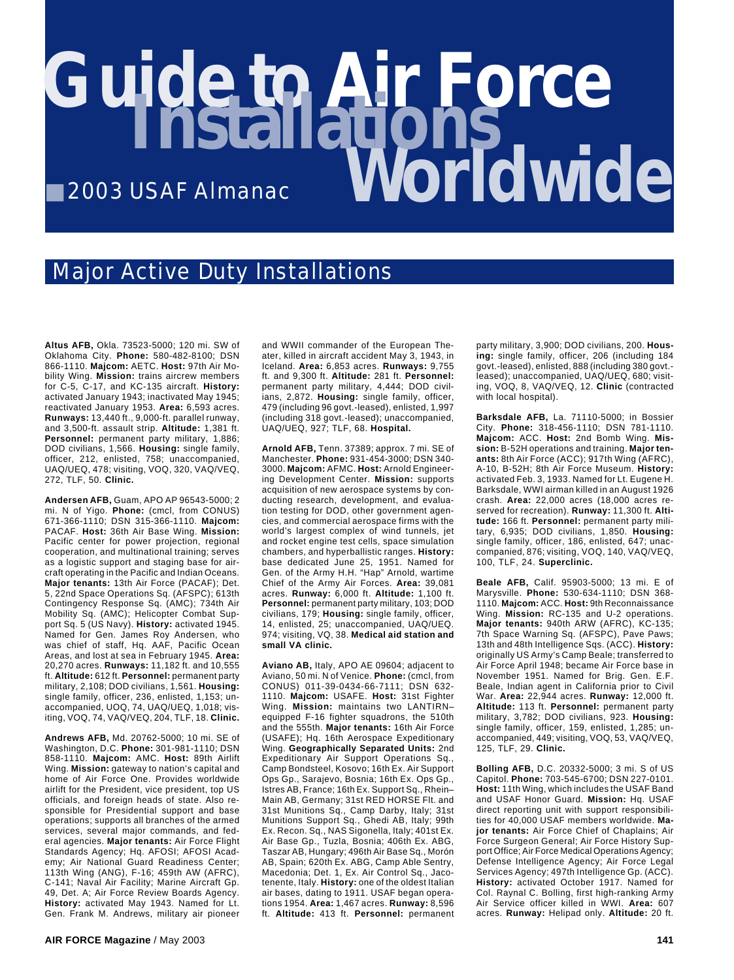## **Guide to Air Force** ■ 2003 USAF Almanac **Worldwide Installations**

## Major Active Duty Installations

**Altus AFB,** Okla. 73523-5000; 120 mi. SW of Oklahoma City. **Phone:** 580-482-8100; DSN 866-1110. **Majcom:** AETC. **Host:** 97th Air Mobility Wing. **Mission:** trains aircrew members for C-5, C-17, and KC-135 aircraft. **History:** activated January 1943; inactivated May 1945; reactivated January 1953. **Area:** 6,593 acres. **Runways:** 13,440 ft., 9,000-ft. parallel runway, and 3,500-ft. assault strip. **Altitude:** 1,381 ft. **Personnel:** permanent party military, 1,886; DOD civilians, 1,566. **Housing:** single family, officer, 212, enlisted, 758; unaccompanied, UAQ/UEQ, 478; visiting, VOQ, 320, VAQ/VEQ, 272, TLF, 50. **Clinic.**

**Andersen AFB,** Guam, APO AP 96543-5000; 2 mi. N of Yigo. **Phone:** (cmcl, from CONUS) 671-366-1110; DSN 315-366-1110. **Majcom:** PACAF. **Host:** 36th Air Base Wing. **Mission:** Pacific center for power projection, regional cooperation, and multinational training; serves as a logistic support and staging base for aircraft operating in the Pacific and Indian Oceans. **Major tenants:** 13th Air Force (PACAF); Det. 5, 22nd Space Operations Sq. (AFSPC); 613th Contingency Response Sq. (AMC); 734th Air Mobility Sq. (AMC); Helicopter Combat Support Sq. 5 (US Navy). **History:** activated 1945. Named for Gen. James Roy Andersen, who was chief of staff, Hq. AAF, Pacific Ocean Areas, and lost at sea in February 1945. **Area:** 20,270 acres. **Runways:** 11,182 ft. and 10,555 ft. **Altitude:** 612 ft. **Personnel:** permanent party military, 2,108; DOD civilians, 1,561. **Housing:** single family, officer, 236, enlisted, 1,153; unaccompanied, UOQ, 74, UAQ/UEQ, 1,018; visiting, VOQ, 74, VAQ/VEQ, 204, TLF, 18. **Clinic.**

**Andrews AFB,** Md. 20762-5000; 10 mi. SE of Washington, D.C. **Phone:** 301-981-1110; DSN 858-1110. **Majcom:** AMC. **Host:** 89th Airlift Wing. **Mission:** gateway to nation's capital and home of Air Force One. Provides worldwide airlift for the President, vice president, top US officials, and foreign heads of state. Also responsible for Presidential support and base operations; supports all branches of the armed services, several major commands, and federal agencies. **Major tenants:** Air Force Flight Standards Agency; Hq. AFOSI; AFOSI Academy; Air National Guard Readiness Center; 113th Wing (ANG), F-16; 459th AW (AFRC), C-141; Naval Air Facility; Marine Aircraft Gp. 49, Det. A; Air Force Review Boards Agency. **History:** activated May 1943. Named for Lt. Gen. Frank M. Andrews, military air pioneer

and WWII commander of the European Theater, killed in aircraft accident May 3, 1943, in Iceland. **Area:** 6,853 acres. **Runways:** 9,755 ft. and 9,300 ft. **Altitude:** 281 ft. **Personnel:** permanent party military, 4,444; DOD civilians, 2,872. **Housing:** single family, officer, 479 (including 96 govt.-leased), enlisted, 1,997 (including 318 govt.-leased); unaccompanied, UAQ/UEQ, 927; TLF, 68. **Hospital.**

**Arnold AFB,** Tenn. 37389; approx. 7 mi. SE of Manchester. **Phone:** 931-454-3000; DSN 340- 3000. **Majcom:** AFMC. **Host:** Arnold Engineering Development Center. **Mission:** supports acquisition of new aerospace systems by conducting research, development, and evaluation testing for DOD, other government agencies, and commercial aerospace firms with the world's largest complex of wind tunnels, jet and rocket engine test cells, space simulation chambers, and hyperballistic ranges. **History:** base dedicated June 25, 1951. Named for Gen. of the Army H.H. "Hap" Arnold, wartime Chief of the Army Air Forces. **Area:** 39,081 acres. **Runway:** 6,000 ft. **Altitude:** 1,100 ft. **Personnel:** permanent party military, 103; DOD civilians, 179; **Housing:** single family, officer, 14, enlisted, 25; unaccompanied, UAQ/UEQ. 974; visiting, VQ, 38. **Medical aid station and small VA clinic.**

**Aviano AB,** Italy, APO AE 09604; adjacent to Aviano, 50 mi. N of Venice. **Phone:** (cmcl, from CONUS) 011-39-0434-66-7111; DSN 632- 1110. **Majcom:** USAFE. **Host:** 31st Fighter Wing. **Mission:** maintains two LANTIRN– equipped F-16 fighter squadrons, the 510th and the 555th. **Major tenants:** 16th Air Force (USAFE); Hq. 16th Aerospace Expeditionary Wing. **Geographically Separated Units:** 2nd Expeditionary Air Support Operations Sq., Camp Bondsteel, Kosovo; 16th Ex. Air Support Ops Gp., Sarajevo, Bosnia; 16th Ex. Ops Gp., Istres AB, France; 16th Ex. Support Sq., Rhein– Main AB, Germany; 31st RED HORSE Flt. and 31st Munitions Sq., Camp Darby, Italy; 31st Munitions Support Sq., Ghedi AB, Italy; 99th Ex. Recon. Sq., NAS Sigonella, Italy; 401st Ex. Air Base Gp., Tuzla, Bosnia; 406th Ex. ABG, Taszar AB, Hungary; 496th Air Base Sq., Morón AB, Spain; 620th Ex. ABG, Camp Able Sentry, Macedonia; Det. 1, Ex. Air Control Sq., Jacotenente, Italy. **History:** one of the oldest Italian air bases, dating to 1911. USAF began operations 1954. **Area:** 1,467 acres. **Runway:** 8,596 ft. **Altitude:** 413 ft. **Personnel:** permanent

party military, 3,900; DOD civilians, 200. **Housing:** single family, officer, 206 (including 184 govt.-leased), enlisted, 888 (including 380 govt. leased); unaccompanied, UAQ/UEQ, 680; visiting, VOQ, 8, VAQ/VEQ, 12. **Clinic** (contracted with local hospital).

**Barksdale AFB,** La. 71110-5000; in Bossier City. **Phone:** 318-456-1110; DSN 781-1110. **Majcom:** ACC. **Host:** 2nd Bomb Wing. **Mission:** B-52H operations and training. **Major tenants:** 8th Air Force (ACC); 917th Wing (AFRC), A-10, B-52H; 8th Air Force Museum. **History:** activated Feb. 3, 1933. Named for Lt. Eugene H. Barksdale, WWI airman killed in an August 1926 crash. **Area:** 22,000 acres (18,000 acres reserved for recreation). **Runway:** 11,300 ft. **Altitude:** 166 ft. **Personnel:** permanent party military, 6,935; DOD civilians, 1,850. **Housing:** single family, officer, 186, enlisted, 647; unaccompanied, 876; visiting, VOQ, 140, VAQ/VEQ, 100, TLF, 24. **Superclinic.**

**Beale AFB,** Calif. 95903-5000; 13 mi. E of Marysville. **Phone:** 530-634-1110; DSN 368- 1110. **Majcom:** ACC. **Host:** 9th Reconnaissance Wing. **Mission:** RC-135 and U-2 operations. **Major tenants:** 940th ARW (AFRC), KC-135; 7th Space Warning Sq. (AFSPC), Pave Paws; 13th and 48th Intelligence Sqs. (ACC). **History:** originally US Army's Camp Beale; transferred to Air Force April 1948; became Air Force base in November 1951. Named for Brig. Gen. E.F. Beale, Indian agent in California prior to Civil War. **Area:** 22,944 acres. **Runway:** 12,000 ft. **Altitude:** 113 ft. **Personnel:** permanent party military, 3,782; DOD civilians, 923. **Housing:** single family, officer, 159, enlisted, 1,285; unaccompanied, 449; visiting, VOQ, 53, VAQ/VEQ, 125, TLF, 29. **Clinic.**

**Bolling AFB,** D.C. 20332-5000; 3 mi. S of US Capitol. **Phone:** 703-545-6700; DSN 227-0101. **Host:** 11th Wing, which includes the USAF Band and USAF Honor Guard. **Mission:** Hq. USAF direct reporting unit with support responsibilities for 40,000 USAF members worldwide. **Major tenants:** Air Force Chief of Chaplains; Air Force Surgeon General; Air Force History Support Office; Air Force Medical Operations Agency; Defense Intelligence Agency; Air Force Legal Services Agency; 497th Intelligence Gp. (ACC). **History:** activated October 1917. Named for Col. Raynal C. Bolling, first high-ranking Army Air Service officer killed in WWI. **Area:** 607 acres. **Runway:** Helipad only. **Altitude:** 20 ft.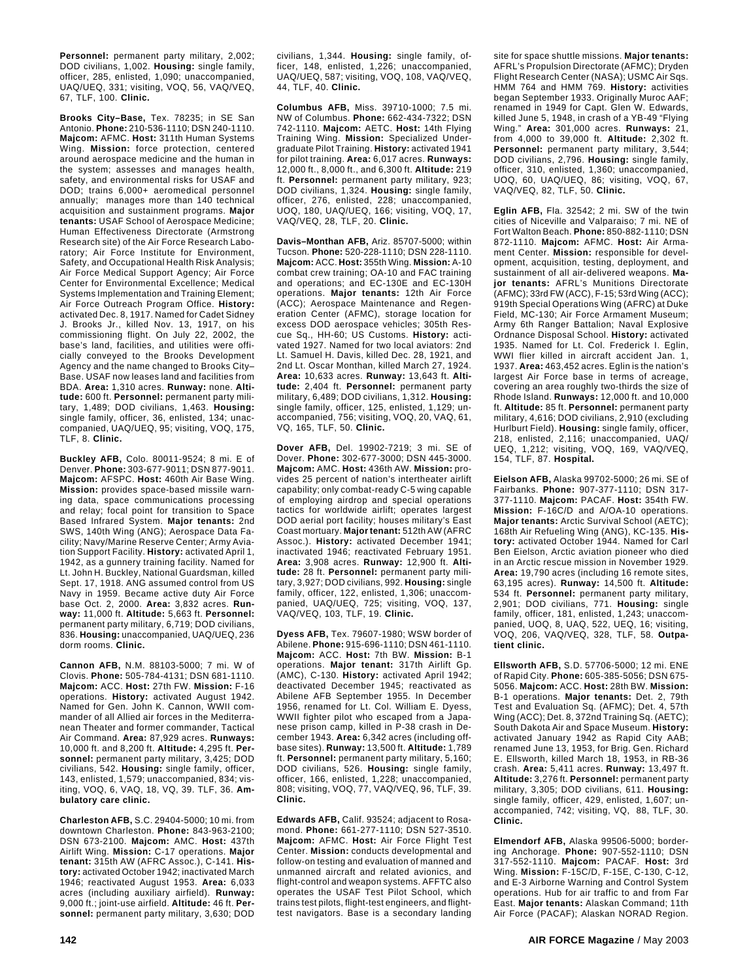**Personnel:** permanent party military, 2,002; DOD civilians, 1,002. **Housing:** single family, officer, 285, enlisted, 1,090; unaccompanied, UAQ/UEQ, 331; visiting, VOQ, 56, VAQ/VEQ, 67, TLF, 100. **Clinic.**

**Brooks City–Base,** Tex. 78235; in SE San Antonio. **Phone:** 210-536-1110; DSN 240-1110. **Majcom:** AFMC. **Host:** 311th Human Systems Wing. **Mission:** force protection, centered around aerospace medicine and the human in the system; assesses and manages health, safety, and environmental risks for USAF and DOD; trains 6,000+ aeromedical personnel annually; manages more than 140 technical acquisition and sustainment programs. **Major tenants:** USAF School of Aerospace Medicine; Human Effectiveness Directorate (Armstrong Research site) of the Air Force Research Laboratory; Air Force Institute for Environment, Safety, and Occupational Health Risk Analysis; Air Force Medical Support Agency; Air Force Center for Environmental Excellence; Medical Systems Implementation and Training Element; Air Force Outreach Program Office. **History:** activated Dec. 8, 1917. Named for Cadet Sidney J. Brooks Jr., killed Nov. 13, 1917, on his commissioning flight. On July 22, 2002, the base's land, facilities, and utilities were officially conveyed to the Brooks Development Agency and the name changed to Brooks City– Base. USAF now leases land and facilities from BDA. **Area:** 1,310 acres. **Runway:** none. **Altitude:** 600 ft. **Personnel:** permanent party military, 1,489; DOD civilians, 1,463. **Housing:** single family, officer, 36, enlisted, 134; unaccompanied, UAQ/UEQ, 95; visiting, VOQ, 175, TLF, 8. **Clinic.**

**Buckley AFB,** Colo. 80011-9524; 8 mi. E of Denver. **Phone:** 303-677-9011; DSN 877-9011. **Majcom:** AFSPC. **Host:** 460th Air Base Wing. **Mission:** provides space-based missile warning data, space communications processing and relay; focal point for transition to Space Based Infrared System. **Major tenants:** 2nd SWS, 140th Wing (ANG); Aerospace Data Facility; Navy/Marine Reserve Center; Army Aviation Support Facility. **History:** activated April 1, 1942, as a gunnery training facility. Named for Lt. John H. Buckley, National Guardsman, killed Sept. 17, 1918. ANG assumed control from US Navy in 1959. Became active duty Air Force base Oct. 2, 2000. **Area:** 3,832 acres. **Runway:** 11,000 ft. **Altitude:** 5,663 ft. **Personnel:** permanent party military, 6,719; DOD civilians, 836. **Housing:** unaccompanied, UAQ/UEQ, 236 dorm rooms. **Clinic.**

**Cannon AFB,** N.M. 88103-5000; 7 mi. W of Clovis. **Phone:** 505-784-4131; DSN 681-1110. **Majcom:** ACC. **Host:** 27th FW. **Mission:** F-16 operations. **History:** activated August 1942. Named for Gen. John K. Cannon, WWII commander of all Allied air forces in the Mediterranean Theater and former commander, Tactical Air Command. **Area:** 87,929 acres. **Runways:** 10,000 ft. and 8,200 ft. **Altitude:** 4,295 ft. **Personnel:** permanent party military, 3,425; DOD civilians, 542. **Housing:** single family, officer, 143, enlisted, 1,579; unaccompanied, 834; visiting, VOQ, 6, VAQ, 18, VQ, 39. TLF, 36. **Ambulatory care clinic.**

**Charleston AFB,** S.C. 29404-5000; 10 mi. from downtown Charleston. **Phone:** 843-963-2100; DSN 673-2100. **Majcom:** AMC. **Host:** 437th Airlift Wing. **Mission:** C-17 operations. **Major tenant:** 315th AW (AFRC Assoc.), C-141. **History:** activated October 1942; inactivated March 1946; reactivated August 1953. **Area:** 6,033 acres (including auxiliary airfield). **Runway:** 9,000 ft.; joint-use airfield. **Altitude:** 46 ft. **Personnel:** permanent party military, 3,630; DOD

civilians, 1,344. **Housing:** single family, officer, 148, enlisted, 1,226; unaccompanied, UAQ/UEQ, 587; visiting, VOQ, 108, VAQ/VEQ, 44, TLF, 40. **Clinic.**

**Columbus AFB,** Miss. 39710-1000; 7.5 mi. NW of Columbus. **Phone:** 662-434-7322; DSN 742-1110. **Majcom:** AETC. **Host:** 14th Flying Training Wing. **Mission:** Specialized Undergraduate Pilot Training. **History:** activated 1941 for pilot training. **Area:** 6,017 acres. **Runways:** 12,000 ft., 8,000 ft., and 6,300 ft. **Altitude:** 219 ft. **Personnel:** permanent party military, 923; DOD civilians, 1,324. **Housing:** single family, officer, 276, enlisted, 228; unaccompanied, UOQ, 180, UAQ/UEQ, 166; visiting, VOQ, 17, VAQ/VEQ, 28, TLF, 20. **Clinic.**

**Davis–Monthan AFB,** Ariz. 85707-5000; within Tucson. **Phone:** 520-228-1110; DSN 228-1110. **Majcom:** ACC. **Host:** 355th Wing. **Mission:** A-10 combat crew training; OA-10 and FAC training and operations; and EC-130E and EC-130H operations. **Major tenants:** 12th Air Force (ACC); Aerospace Maintenance and Regeneration Center (AFMC), storage location for excess DOD aerospace vehicles; 305th Rescue Sq., HH-60; US Customs. **History:** activated 1927. Named for two local aviators: 2nd Lt. Samuel H. Davis, killed Dec. 28, 1921, and 2nd Lt. Oscar Monthan, killed March 27, 1924. **Area:** 10,633 acres. **Runway:** 13,643 ft. **Altitude:** 2,404 ft. **Personnel:** permanent party military, 6,489; DOD civilians, 1,312. **Housing:** single family, officer, 125, enlisted, 1,129; unaccompanied, 756; visiting, VOQ, 20, VAQ, 61, VQ, 165, TLF, 50. **Clinic.**

**Dover AFB,** Del. 19902-7219; 3 mi. SE of Dover. **Phone:** 302-677-3000; DSN 445-3000. **Majcom:** AMC. **Host:** 436th AW. **Mission:** provides 25 percent of nation's intertheater airlift capability; only combat-ready C-5 wing capable of employing airdrop and special operations tactics for worldwide airlift; operates largest DOD aerial port facility; houses military's East Coast mortuary. **Major tenant:** 512th AW (AFRC Assoc.). **History:** activated December 1941; inactivated 1946; reactivated February 1951. **Area:** 3,908 acres. **Runway:** 12,900 ft. **Altitude:** 28 ft. **Personnel:** permanent party military, 3,927; DOD civilians, 992. **Housing:** single family, officer, 122, enlisted, 1,306; unaccompanied, UAQ/UEQ, 725; visiting, VOQ, 137, VAQ/VEQ, 103, TLF, 19. **Clinic.**

**Dyess AFB,** Tex. 79607-1980; WSW border of Abilene. **Phone:** 915-696-1110; DSN 461-1110. **Majcom:** ACC. **Host:** 7th BW. **Mission:** B-1 operations. **Major tenant:** 317th Airlift Gp. (AMC), C-130. **History:** activated April 1942; deactivated December 1945; reactivated as Abilene AFB September 1955. In December 1956, renamed for Lt. Col. William E. Dyess, WWII fighter pilot who escaped from a Japanese prison camp, killed in P-38 crash in December 1943. **Area:** 6,342 acres (including offbase sites). **Runway:** 13,500 ft. **Altitude:** 1,789 ft. **Personnel:** permanent party military, 5,160; DOD civilians, 526. **Housing:** single family, officer, 166, enlisted, 1,228; unaccompanied, 808; visiting, VOQ, 77, VAQ/VEQ, 96, TLF, 39. **Clinic.**

**Edwards AFB,** Calif. 93524; adjacent to Rosamond. **Phone:** 661-277-1110; DSN 527-3510. **Majcom:** AFMC. **Host:** Air Force Flight Test Center. **Mission:** conducts developmental and follow-on testing and evaluation of manned and unmanned aircraft and related avionics, and flight-control and weapon systems. AFFTC also operates the USAF Test Pilot School, which trains test pilots, flight-test engineers, and flighttest navigators. Base is a secondary landing site for space shuttle missions. **Major tenants:** AFRL's Propulsion Directorate (AFMC); Dryden Flight Research Center (NASA); USMC Air Sqs. HMM 764 and HMM 769. **History:** activities began September 1933. Originally Muroc AAF; renamed in 1949 for Capt. Glen W. Edwards, killed June 5, 1948, in crash of a YB-49 "Flying Wing." **Area:** 301,000 acres. **Runways:** 21, from 4,000 to 39,000 ft. **Altitude:** 2,302 ft. **Personnel:** permanent party military, 3,544; DOD civilians, 2,796. **Housing:** single family, officer, 310, enlisted, 1,360; unaccompanied, UOQ, 60, UAQ/UEQ, 86; visiting, VOQ, 67, VAQ/VEQ, 82, TLF, 50. **Clinic.**

**Eglin AFB,** Fla. 32542; 2 mi. SW of the twin cities of Niceville and Valparaiso; 7 mi. NE of Fort Walton Beach. **Phone:** 850-882-1110; DSN 872-1110. **Majcom:** AFMC. **Host:** Air Armament Center. **Mission:** responsible for development, acquisition, testing, deployment, and sustainment of all air-delivered weapons. **Major tenants:** AFRL's Munitions Directorate (AFMC); 33rd FW (ACC), F-15; 53rd Wing (ACC); 919th Special Operations Wing (AFRC) at Duke Field, MC-130; Air Force Armament Museum; Army 6th Ranger Battalion; Naval Explosive Ordnance Disposal School. **History:** activated 1935. Named for Lt. Col. Frederick I. Eglin, WWI flier killed in aircraft accident Jan. 1, 1937. **Area:** 463,452 acres. Eglin is the nation's largest Air Force base in terms of acreage, covering an area roughly two-thirds the size of Rhode Island. **Runways:** 12,000 ft. and 10,000 ft. **Altitude:** 85 ft. **Personnel:** permanent party military, 4,616; DOD civilians, 2,910 (excluding Hurlburt Field). **Housing:** single family, officer, 218, enlisted, 2,116; unaccompanied, UAQ/ UEQ, 1,212; visiting, VOQ, 169, VAQ/VEQ, 154, TLF, 87. **Hospital.**

**Eielson AFB,** Alaska 99702-5000; 26 mi. SE of Fairbanks. **Phone:** 907-377-1110; DSN 317- 377-1110. **Majcom:** PACAF. **Host:** 354th FW. **Mission:** F-16C/D and A/OA-10 operations. **Major tenants:** Arctic Survival School (AETC); 168th Air Refueling Wing (ANG), KC-135. **History:** activated October 1944. Named for Carl Ben Eielson, Arctic aviation pioneer who died in an Arctic rescue mission in November 1929. **Area:** 19,790 acres (including 16 remote sites, 63,195 acres). **Runway:** 14,500 ft. **Altitude:** 534 ft. **Personnel:** permanent party military, 2,901; DOD civilians, 771. **Housing:** single family, officer, 181, enlisted, 1,243; unaccompanied, UOQ, 8, UAQ, 522, UEQ, 16; visiting, VOQ, 206, VAQ/VEQ, 328, TLF, 58. **Outpatient clinic.**

**Ellsworth AFB,** S.D. 57706-5000; 12 mi. ENE of Rapid City. **Phone:** 605-385-5056; DSN 675- 5056. **Majcom:** ACC. **Host:** 28th BW. **Mission:** B-1 operations. **Major tenants:** Det. 2, 79th Test and Evaluation Sq. (AFMC); Det. 4, 57th Wing (ACC); Det. 8, 372nd Training Sq. (AETC); South Dakota Air and Space Museum. **History:** activated January 1942 as Rapid City AAB; renamed June 13, 1953, for Brig. Gen. Richard E. Ellsworth, killed March 18, 1953, in RB-36 crash. **Area:** 5,411 acres. **Runway:** 13,497 ft. **Altitude:** 3,276 ft. **Personnel:** permanent party military, 3,305; DOD civilians, 611. **Housing:** single family, officer, 429, enlisted, 1,607; unaccompanied, 742; visiting, VQ, 88, TLF, 30. **Clinic.**

**Elmendorf AFB,** Alaska 99506-5000; bordering Anchorage. **Phone:** 907-552-1110; DSN 317-552-1110. **Majcom:** PACAF. **Host:** 3rd Wing. **Mission:** F-15C/D, F-15E, C-130, C-12, and E-3 Airborne Warning and Control System operations. Hub for air traffic to and from Far East. **Major tenants:** Alaskan Command; 11th Air Force (PACAF); Alaskan NORAD Region.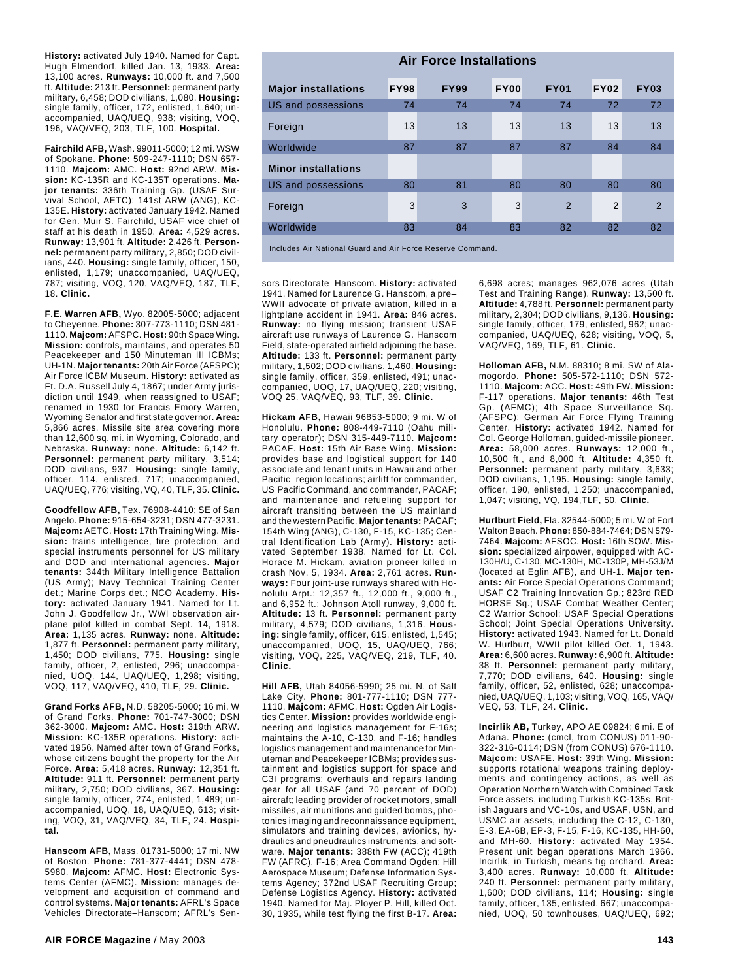**History:** activated July 1940. Named for Capt. Hugh Elmendorf, killed Jan. 13, 1933. **Area:** 13,100 acres. **Runways:** 10,000 ft. and 7,500 ft. **Altitude:** 213 ft. **Personnel:** permanent party military, 6,458; DOD civilians, 1,080. **Housing:** single family, officer, 172, enlisted, 1,640; unaccompanied, UAQ/UEQ, 938; visiting, VOQ, 196, VAQ/VEQ, 203, TLF, 100. **Hospital.**

**Fairchild AFB,** Wash. 99011-5000; 12 mi. WSW of Spokane. **Phone:** 509-247-1110; DSN 657- 1110. **Majcom:** AMC. **Host:** 92nd ARW. **Mission:** KC-135R and KC-135T operations. **Major tenants:** 336th Training Gp. (USAF Survival School, AETC); 141st ARW (ANG), KC-135E. **History:** activated January 1942. Named for Gen. Muir S. Fairchild, USAF vice chief of staff at his death in 1950. **Area:** 4,529 acres. **Runway:** 13,901 ft. **Altitude:** 2,426 ft. **Personnel:** permanent party military, 2,850; DOD civilians, 440. **Housing:** single family, officer, 150, enlisted, 1,179; unaccompanied, UAQ/UEQ, 787; visiting, VOQ, 120, VAQ/VEQ, 187, TLF, 18. **Clinic.**

**F.E. Warren AFB,** Wyo. 82005-5000; adjacent to Cheyenne. **Phone:** 307-773-1110; DSN 481- 1110. **Majcom:** AFSPC. **Host:** 90th Space Wing. **Mission:** controls, maintains, and operates 50 Peacekeeper and 150 Minuteman III ICBMs; UH-1N. **Major tenants:** 20th Air Force (AFSPC); Air Force ICBM Museum. **History:** activated as Ft. D.A. Russell July 4, 1867; under Army jurisdiction until 1949, when reassigned to USAF; renamed in 1930 for Francis Emory Warren, Wyoming Senator and first state governor. **Area:** 5,866 acres. Missile site area covering more than 12,600 sq. mi. in Wyoming, Colorado, and Nebraska. **Runway:** none. **Altitude:** 6,142 ft. **Personnel:** permanent party military, 3,514; DOD civilians, 937. **Housing:** single family, officer, 114, enlisted, 717; unaccompanied, UAQ/UEQ, 776; visiting, VQ, 40, TLF, 35. **Clinic.**

**Goodfellow AFB,** Tex. 76908-4410; SE of San Angelo. **Phone:** 915-654-3231; DSN 477-3231. **Majcom:** AETC. **Host:** 17th Training Wing. **Mission:** trains intelligence, fire protection, and special instruments personnel for US military and DOD and international agencies. **Major tenants:** 344th Military Intelligence Battalion (US Army); Navy Technical Training Center det.; Marine Corps det.; NCO Academy. **History:** activated January 1941. Named for Lt. John J. Goodfellow Jr., WWI observation airplane pilot killed in combat Sept. 14, 1918. **Area:** 1,135 acres. **Runway:** none. **Altitude:** 1,877 ft. **Personnel:** permanent party military, 1,450; DOD civilians, 775. **Housing:** single family, officer, 2, enlisted, 296; unaccompanied, UOQ, 144, UAQ/UEQ, 1,298; visiting, VOQ, 117, VAQ/VEQ, 410, TLF, 29. **Clinic.**

**Grand Forks AFB,** N.D. 58205-5000; 16 mi. W of Grand Forks. **Phone:** 701-747-3000; DSN 362-3000. **Majcom:** AMC. **Host:** 319th ARW. **Mission:** KC-135R operations. **History:** activated 1956. Named after town of Grand Forks, whose citizens bought the property for the Air Force. **Area:** 5,418 acres. **Runway:** 12,351 ft. **Altitude:** 911 ft. **Personnel:** permanent party military, 2,750; DOD civilians, 367. **Housing:** single family, officer, 274, enlisted, 1,489; unaccompanied, UOQ, 18, UAQ/UEQ, 613; visiting, VOQ, 31, VAQ/VEQ, 34, TLF, 24. **Hospital.**

**Hanscom AFB,** Mass. 01731-5000; 17 mi. NW of Boston. **Phone:** 781-377-4441; DSN 478- 5980. **Majcom:** AFMC. **Host:** Electronic Systems Center (AFMC). **Mission:** manages development and acquisition of command and control systems. **Major tenants:** AFRL's Space Vehicles Directorate–Hanscom; AFRL's Sen-

| <b>Air Force Installations</b> |             |             |             |               |                |                |  |
|--------------------------------|-------------|-------------|-------------|---------------|----------------|----------------|--|
| <b>Major installations</b>     | <b>FY98</b> | <b>FY99</b> | <b>FY00</b> | <b>FY01</b>   | <b>FY02</b>    | <b>FY03</b>    |  |
| <b>US and possessions</b>      | 74          | 74          | 74          | 74            | 72             | 72             |  |
| Foreign                        | 13          | 13          | 13          | 13            | 13             | 13             |  |
| Worldwide                      | 87          | 87          | 87          | 87            | 84             | 84             |  |
| <b>Minor installations</b>     |             |             |             |               |                |                |  |
| <b>US</b> and possessions      | 80          | 81          | 80          | 80            | 80             | 80             |  |
| Foreign                        | 3           | 3           | 3           | $\mathcal{P}$ | $\overline{2}$ | $\overline{2}$ |  |
| Worldwide                      | 83          | 84          | 83          | 82            | 82             | 82             |  |
|                                |             |             |             |               |                |                |  |

Includes Air National Guard and Air Force Reserve Command.

sors Directorate–Hanscom. **History:** activated 1941. Named for Laurence G. Hanscom, a pre– WWII advocate of private aviation, killed in a lightplane accident in 1941. **Area:** 846 acres. **Runway:** no flying mission; transient USAF aircraft use runways of Laurence G. Hanscom Field, state-operated airfield adjoining the base. **Altitude:** 133 ft. **Personnel:** permanent party military, 1,502; DOD civilians, 1,460. **Housing:** single family, officer, 359, enlisted, 491; unaccompanied, UOQ, 17, UAQ/UEQ, 220; visiting, VOQ 25, VAQ/VEQ, 93, TLF, 39. **Clinic.**

**Hickam AFB,** Hawaii 96853-5000; 9 mi. W of Honolulu. **Phone:** 808-449-7110 (Oahu military operator); DSN 315-449-7110. **Majcom:** PACAF. **Host:** 15th Air Base Wing. **Mission:** provides base and logistical support for 140 associate and tenant units in Hawaii and other Pacific–region locations; airlift for commander, US Pacific Command, and commander, PACAF; and maintenance and refueling support for aircraft transiting between the US mainland and the western Pacific. **Major tenants:** PACAF; 154th Wing (ANG), C-130, F-15, KC-135; Central Identification Lab (Army). **History:** activated September 1938. Named for Lt. Col. Horace M. Hickam, aviation pioneer killed in crash Nov. 5, 1934. **Area:** 2,761 acres. **Runways:** Four joint-use runways shared with Honolulu Arpt.: 12,357 ft., 12,000 ft., 9,000 ft., and 6,952 ft.; Johnson Atoll runway, 9,000 ft. **Altitude:** 13 ft. **Personnel:** permanent party military, 4,579; DOD civilians, 1,316. **Housing:** single family, officer, 615, enlisted, 1,545; unaccompanied, UOQ, 15, UAQ/UEQ, 766; visiting, VOQ, 225, VAQ/VEQ, 219, TLF, 40. **Clinic.**

**Hill AFB,** Utah 84056-5990; 25 mi. N. of Salt Lake City. **Phone:** 801-777-1110; DSN 777- 1110. **Majcom:** AFMC. **Host:** Ogden Air Logistics Center. **Mission:** provides worldwide engineering and logistics management for F-16s; maintains the A-10, C-130, and F-16; handles logistics management and maintenance for Minuteman and Peacekeeper ICBMs; provides sustainment and logistics support for space and C3I programs; overhauls and repairs landing gear for all USAF (and 70 percent of DOD) aircraft; leading provider of rocket motors, small missiles, air munitions and guided bombs, photonics imaging and reconnaissance equipment, simulators and training devices, avionics, hydraulics and pneudraulics instruments, and software. **Major tenants:** 388th FW (ACC); 419th FW (AFRC), F-16; Area Command Ogden; Hill Aerospace Museum; Defense Information Systems Agency; 372nd USAF Recruiting Group; Defense Logistics Agency. **History:** activated 1940. Named for Maj. Ployer P. Hill, killed Oct. 30, 1935, while test flying the first B-17. **Area:**

6,698 acres; manages 962,076 acres (Utah Test and Training Range). **Runway:** 13,500 ft. **Altitude:** 4,788 ft. **Personnel:** permanent party military, 2,304; DOD civilians, 9,136. **Housing:** single family, officer, 179, enlisted, 962; unaccompanied, UAQ/UEQ, 628; visiting, VOQ, 5, VAQ/VEQ, 169, TLF, 61. **Clinic.**

**Holloman AFB,** N.M. 88310; 8 mi. SW of Alamogordo. **Phone:** 505-572-1110; DSN 572- 1110. **Majcom:** ACC. **Host:** 49th FW. **Mission:** F-117 operations. **Major tenants:** 46th Test Gp. (AFMC); 4th Space Surveillance Sq. (AFSPC); German Air Force Flying Training Center. **History:** activated 1942. Named for Col. George Holloman, guided-missile pioneer. **Area:** 58,000 acres. **Runways:** 12,000 ft., 10,500 ft., and 8,000 ft. **Altitude:** 4,350 ft. **Personnel:** permanent party military, 3,633; DOD civilians, 1,195. **Housing:** single family, officer, 190, enlisted, 1,250; unaccompanied, 1,047; visiting, VQ, 194,TLF, 50. **Clinic.**

**Hurlburt Field,** Fla. 32544-5000; 5 mi. W of Fort Walton Beach. **Phone:** 850-884-7464; DSN 579- 7464. **Majcom:** AFSOC. **Host:** 16th SOW. **Mission:** specialized airpower, equipped with AC-130H/U, C-130, MC-130H, MC-130P, MH-53J/M (located at Eglin AFB), and UH-1. **Major tenants:** Air Force Special Operations Command; USAF C2 Training Innovation Gp.; 823rd RED HORSE Sq.; USAF Combat Weather Center; C2 Warrior School; USAF Special Operations School; Joint Special Operations University. **History:** activated 1943. Named for Lt. Donald W. Hurlburt, WWII pilot killed Oct. 1, 1943. **Area:** 6,600 acres. **Runway:** 6,900 ft. **Altitude:** 38 ft. **Personnel:** permanent party military, 7,770; DOD civilians, 640. **Housing:** single family, officer, 52, enlisted, 628; unaccompanied, UAQ/UEQ, 1,103; visiting, VOQ, 165, VAQ/ VEQ, 53, TLF, 24. **Clinic.**

**Incirlik AB,** Turkey, APO AE 09824; 6 mi. E of Adana. **Phone:** (cmcl, from CONUS) 011-90- 322-316-0114; DSN (from CONUS) 676-1110. **Majcom:** USAFE. **Host:** 39th Wing. **Mission:** supports rotational weapons training deployments and contingency actions, as well as Operation Northern Watch with Combined Task Force assets, including Turkish KC-135s, British Jaguars and VC-10s, and USAF, USN, and USMC air assets, including the C-12, C-130, E-3, EA-6B, EP-3, F-15, F-16, KC-135, HH-60, and MH-60. **History:** activated May 1954. Present unit began operations March 1966. Incirlik, in Turkish, means fig orchard. **Area:** 3,400 acres. **Runway:** 10,000 ft. **Altitude:** 240 ft. **Personnel:** permanent party military, 1,600; DOD civilians, 114; **Housing:** single family, officer, 135, enlisted, 667; unaccompanied, UOQ, 50 townhouses, UAQ/UEQ, 692;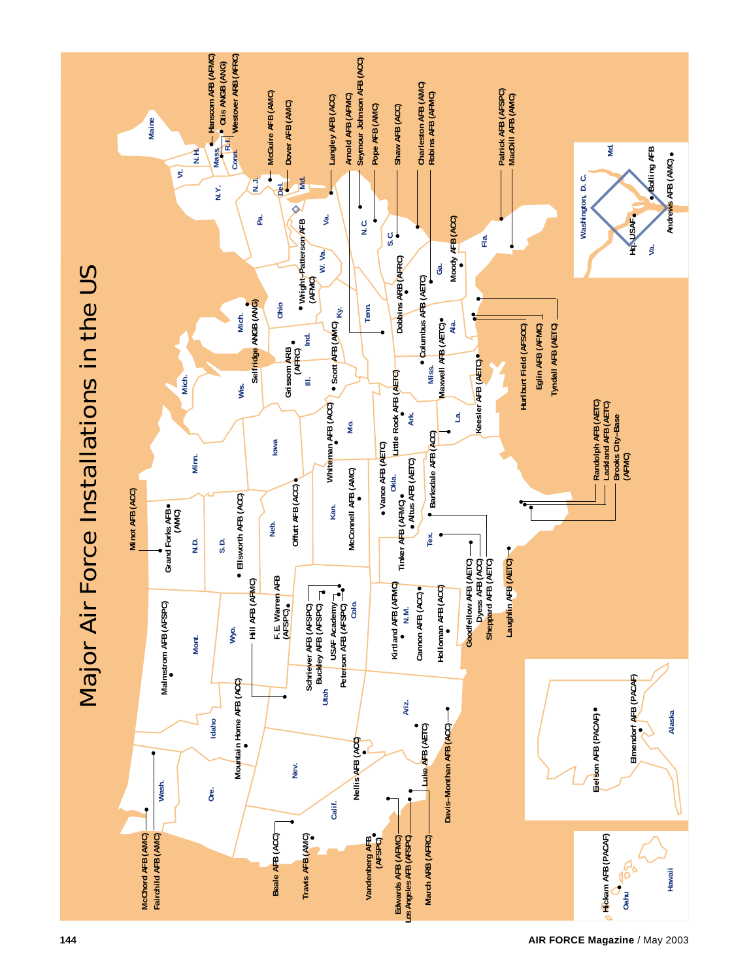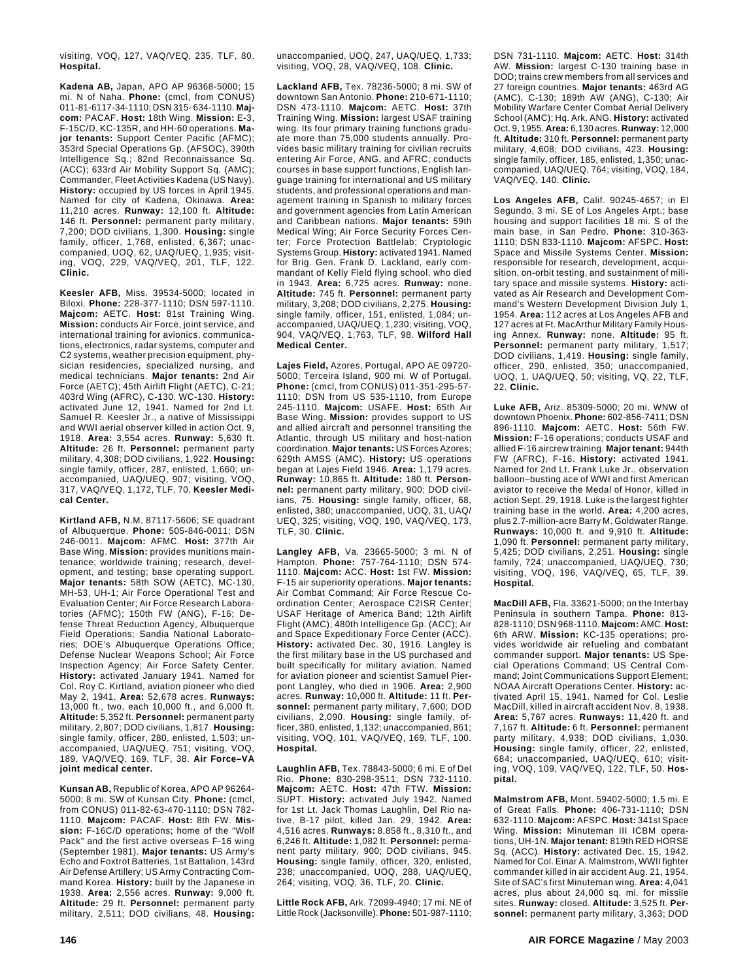visiting, VOQ, 127, VAQ/VEQ, 235, TLF, 80. **Hospital.**

**Kadena AB,** Japan, APO AP 96368-5000; 15 mi. N of Naha. **Phone:** (cmcl, from CONUS) 011-81-6117-34-1110; DSN 315- 634-1110. **Majcom:** PACAF. **Host:** 18th Wing. **Mission:** E-3, F-15C/D, KC-135R, and HH-60 operations. **Major tenants:** Support Center Pacific (AFMC); 353rd Special Operations Gp. (AFSOC), 390th Intelligence Sq.; 82nd Reconnaissance Sq. (ACC); 633rd Air Mobility Support Sq. (AMC); Commander, Fleet Activities Kadena (US Navy). **History:** occupied by US forces in April 1945. Named for city of Kadena, Okinawa. **Area:** 11,210 acres. **Runway:** 12,100 ft. **Altitude:** 146 ft. **Personnel:** permanent party military, 7,200; DOD civilians, 1,300. **Housing:** single family, officer, 1,768, enlisted, 6,367; unaccompanied, UOQ, 62, UAQ/UEQ, 1,935; visiting, VOQ, 229, VAQ/VEQ, 201, TLF, 122. **Clinic.**

**Keesler AFB,** Miss. 39534-5000; located in Biloxi. **Phone:** 228-377-1110; DSN 597-1110. **Majcom:** AETC. **Host:** 81st Training Wing. **Mission:** conducts Air Force, joint service, and international training for avionics, communications, electronics, radar systems, computer and C2 systems, weather precision equipment, physician residencies, specialized nursing, and medical technicians. **Major tenants:** 2nd Air Force (AETC); 45th Airlift Flight (AETC), C-21; 403rd Wing (AFRC), C-130, WC-130. **History:** activated June 12, 1941. Named for 2nd Lt. Samuel R. Keesler Jr., a native of Mississippi and WWI aerial observer killed in action Oct. 9, 1918. **Area:** 3,554 acres. **Runway:** 5,630 ft. **Altitude:** 26 ft. **Personnel:** permanent party military, 4,308; DOD civilians, 1,922. **Housing:** single family, officer, 287, enlisted, 1,660; unaccompanied, UAQ/UEQ, 907; visiting, VOQ, 317, VAQ/VEQ, 1,172, TLF, 70. **Keesler Medical Center.**

**Kirtland AFB,** N.M. 87117-5606; SE quadrant of Albuquerque. **Phone:** 505-846-0011; DSN 246-0011. **Majcom:** AFMC. **Host:** 377th Air Base Wing. **Mission:** provides munitions maintenance; worldwide training; research, development, and testing; base operating support. **Major tenants:** 58th SOW (AETC), MC-130, MH-53, UH-1; Air Force Operational Test and Evaluation Center; Air Force Research Laboratories (AFMC); 150th FW (ANG), F-16; Defense Threat Reduction Agency, Albuquerque Field Operations; Sandia National Laboratories; DOE's Albuquerque Operations Office; Defense Nuclear Weapons School; Air Force Inspection Agency; Air Force Safety Center. **History:** activated January 1941. Named for Col. Roy C. Kirtland, aviation pioneer who died May 2, 1941. **Area:** 52,678 acres. **Runways:** 13,000 ft., two, each 10,000 ft., and 6,000 ft. **Altitude:** 5,352 ft. **Personnel:** permanent party military, 2,807; DOD civilians, 1,817. **Housing:** single family, officer, 280, enlisted, 1,503; unaccompanied, UAQ/UEQ, 751; visiting, VOQ, 189, VAQ/VEQ, 169, TLF, 38. **Air Force–VA joint medical center.**

**Kunsan AB,** Republic of Korea, APO AP 96264- 5000; 8 mi. SW of Kunsan City. **Phone:** (cmcl, from CONUS) 011-82-63-470-1110; DSN 782- 1110. **Majcom:** PACAF. **Host:** 8th FW. **Mission:** F-16C/D operations; home of the "Wolf Pack" and the first active overseas F-16 wing (September 1981). **Major tenants:** US Army's Echo and Foxtrot Batteries, 1st Battalion, 143rd Air Defense Artillery; US Army Contracting Command Korea. **History:** built by the Japanese in 1938. **Area:** 2,556 acres. **Runway:** 9,000 ft. **Altitude:** 29 ft. **Personnel:** permanent party military, 2,511; DOD civilians, 48. **Housing:**

unaccompanied, UOQ, 247, UAQ/UEQ, 1,733; visiting, VOQ, 28, VAQ/VEQ, 108. **Clinic.**

**Lackland AFB,** Tex. 78236-5000; 8 mi. SW of downtown San Antonio. **Phone:** 210-671-1110; DSN 473-1110. **Majcom:** AETC. **Host:** 37th Training Wing. **Mission:** largest USAF training wing. Its four primary training functions graduate more than 75,000 students annually. Provides basic military training for civilian recruits entering Air Force, ANG, and AFRC; conducts courses in base support functions, English language training for international and US military students, and professional operations and management training in Spanish to military forces and government agencies from Latin American and Caribbean nations. **Major tenants:** 59th Medical Wing; Air Force Security Forces Center; Force Protection Battlelab; Cryptologic Systems Group. **History:** activated 1941. Named for Brig. Gen. Frank D. Lackland, early commandant of Kelly Field flying school, who died in 1943. **Area:** 6,725 acres. **Runway:** none. **Altitude:** 745 ft. **Personnel:** permanent party military, 3,208; DOD civilians, 2,275. **Housing:** single family, officer, 151, enlisted, 1,084; unaccompanied, UAQ/UEQ, 1,230; visiting, VOQ, 904, VAQ/VEQ, 1,763, TLF, 98. **Wilford Hall Medical Center.**

**Lajes Field,** Azores, Portugal, APO AE 09720- 5000; Terceira Island, 900 mi. W of Portugal. **Phone:** (cmcl, from CONUS) 011-351-295-57- 1110; DSN from US 535-1110, from Europe 245-1110. **Majcom:** USAFE. **Host:** 65th Air Base Wing. **Mission:** provides support to US and allied aircraft and personnel transiting the Atlantic, through US military and host-nation coordination. **Major tenants:** US Forces Azores; 629th AMSS (AMC). **History:** US operations began at Lajes Field 1946. **Area:** 1,179 acres. **Runway:** 10,865 ft. **Altitude:** 180 ft. **Personnel:** permanent party military, 900; DOD civilians, 75. **Housing:** single family, officer, 68, enlisted, 380; unaccompanied, UOQ, 31, UAQ/ UEQ, 325; visiting, VOQ, 190, VAQ/VEQ, 173, TLF, 30. **Clinic.**

**Langley AFB,** Va. 23665-5000; 3 mi. N of Hampton. **Phone:** 757-764-1110; DSN 574- 1110. **Majcom:** ACC. **Host:** 1st FW. **Mission:** F-15 air superiority operations. **Major tenants:** Air Combat Command; Air Force Rescue Coordination Center; Aerospace C2ISR Center; USAF Heritage of America Band; 12th Airlift Flight (AMC); 480th Intelligence Gp. (ACC); Air and Space Expeditionary Force Center (ACC). **History:** activated Dec. 30, 1916. Langley is the first military base in the US purchased and built specifically for military aviation. Named for aviation pioneer and scientist Samuel Pierpont Langley, who died in 1906. **Area:** 2,900 acres. **Runway:** 10,000 ft. **Altitude:** 11 ft. **Personnel:** permanent party military, 7,600; DOD civilians, 2,090. **Housing:** single family, officer, 380, enlisted, 1,132; unaccompanied, 861; visiting, VOQ, 101, VAQ/VEQ, 169, TLF, 100. **Hospital.**

**Laughlin AFB,** Tex. 78843-5000; 6 mi. E of Del Rio. **Phone:** 830-298-3511; DSN 732-1110. **Majcom:** AETC. **Host:** 47th FTW. **Mission:** SUPT. **History:** activated July 1942. Named for 1st Lt. Jack Thomas Laughlin, Del Rio native, B-17 pilot, killed Jan. 29, 1942. **Area:** 4,516 acres. **Runways:** 8,858 ft., 8,310 ft., and 6,246 ft. **Altitude:** 1,082 ft. **Personnel:** permanent party military, 900; DOD civilians, 945. **Housing:** single family, officer, 320, enlisted, 238; unaccompanied, UOQ, 288, UAQ/UEQ, 264; visiting, VOQ, 36, TLF, 20. **Clinic.**

**Little Rock AFB,** Ark. 72099-4940; 17 mi. NE of Little Rock (Jacksonville). **Phone:** 501-987-1110; DSN 731-1110. **Majcom:** AETC. **Host:** 314th AW. **Mission:** largest C-130 training base in DOD; trains crew members from all services and 27 foreign countries. **Major tenants:** 463rd AG (AMC), C-130; 189th AW (ANG), C-130; Air Mobility Warfare Center Combat Aerial Delivery School (AMC); Hq. Ark. ANG. **History:** activated Oct. 9, 1955. **Area:** 6,130 acres. **Runway:** 12,000 ft. **Altitude:** 310 ft. **Personnel:** permanent party military, 4,608; DOD civilians, 423. **Housing:** single family, officer, 185, enlisted, 1,350; unaccompanied, UAQ/UEQ, 764; visiting, VOQ, 184, VAQ/VEQ, 140. **Clinic.**

**Los Angeles AFB,** Calif. 90245-4657; in El Segundo, 3 mi. SE of Los Angeles Arpt.; base housing and support facilities 18 mi. S of the main base, in San Pedro. **Phone:** 310-363- 1110; DSN 833-1110. **Majcom:** AFSPC. **Host:** Space and Missile Systems Center. **Mission:** responsible for research, development, acquisition, on-orbit testing, and sustainment of military space and missile systems. **History:** activated as Air Research and Development Command's Western Development Division July 1, 1954. **Area:** 112 acres at Los Angeles AFB and 127 acres at Ft. MacArthur Military Family Housing Annex. **Runway:** none. **Altitude:** 95 ft. **Personnel:** permanent party military, 1,517; DOD civilians, 1,419. **Housing:** single family, officer, 290, enlisted, 350; unaccompanied, UOQ, 1, UAQ/UEQ, 50; visiting, VQ, 22, TLF, 22. **Clinic.**

**Luke AFB,** Ariz. 85309-5000; 20 mi. WNW of downtown Phoenix. **Phone:** 602-856-7411; DSN 896-1110. **Majcom:** AETC. **Host:** 56th FW. **Mission:** F-16 operations; conducts USAF and allied F-16 aircrew training. **Major tenant:** 944th FW (AFRC), F-16. **History:** activated 1941. Named for 2nd Lt. Frank Luke Jr., observation balloon–busting ace of WWI and first American aviator to receive the Medal of Honor, killed in action Sept. 29, 1918. Luke is the largest fighter training base in the world. **Area:** 4,200 acres, plus 2.7-million-acre Barry M. Goldwater Range. **Runways:** 10,000 ft. and 9,910 ft. **Altitude:** 1,090 ft. **Personnel:** permanent party military, 5,425; DOD civilians, 2,251. **Housing:** single family, 724; unaccompanied, UAQ/UEQ, 730; visiting, VOQ, 196, VAQ/VEQ, 65, TLF, 39. **Hospital.**

**MacDill AFB,** Fla. 33621-5000; on the Interbay Peninsula in southern Tampa. **Phone:** 813- 828-1110; DSN 968-1110. **Majcom:** AMC. **Host:** 6th ARW. **Mission:** KC-135 operations; provides worldwide air refueling and combatant commander support. **Major tenants:** US Special Operations Command; US Central Command; Joint Communications Support Element; NOAA Aircraft Operations Center. **History:** activated April 15, 1941. Named for Col. Leslie MacDill, killed in aircraft accident Nov. 8, 1938. **Area:** 5,767 acres. **Runways:** 11,420 ft. and 7,167 ft. **Altitude:** 6 ft. **Personnel:** permanent party military, 4,938; DOD civilians, 1,030. **Housing:** single family, officer, 22, enlisted, 684; unaccompanied, UAQ/UEQ, 610; visiting, VOQ, 109, VAQ/VEQ, 122, TLF, 50. **Hospital.**

**Malmstrom AFB,** Mont. 59402-5000; 1.5 mi. E of Great Falls. **Phone:** 406-731-1110; DSN 632-1110. **Majcom:** AFSPC. **Host:** 341st Space Wing. **Mission:** Minuteman III ICBM operations, UH-1N. **Major tenant:** 819th RED HORSE Sq. (ACC). **History:** activated Dec. 15, 1942. Named for Col. Einar A. Malmstrom, WWII fighter commander killed in air accident Aug. 21, 1954. Site of SAC's first Minuteman wing. **Area:** 4,041 acres, plus about 24,000 sq. mi. for missile sites. **Runway:** closed. **Altitude:** 3,525 ft. **Personnel:** permanent party military, 3,363; DOD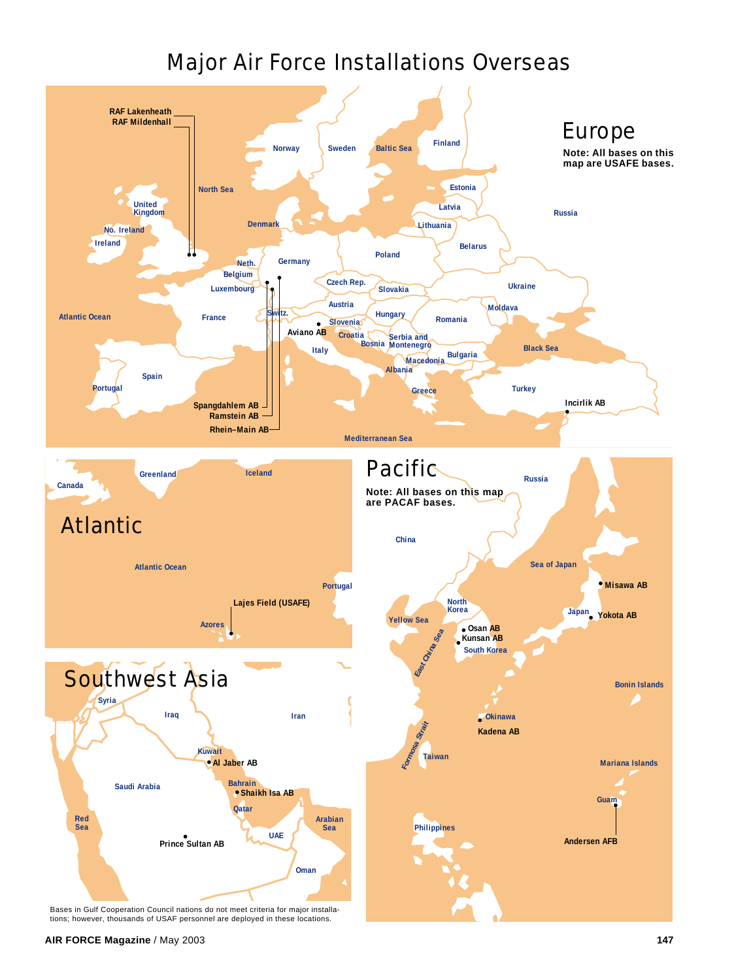

Bases in Gulf Cooperation Council nations do not meet criteria for major installa-tions; however, thousands of USAF personnel are deployed in these locations.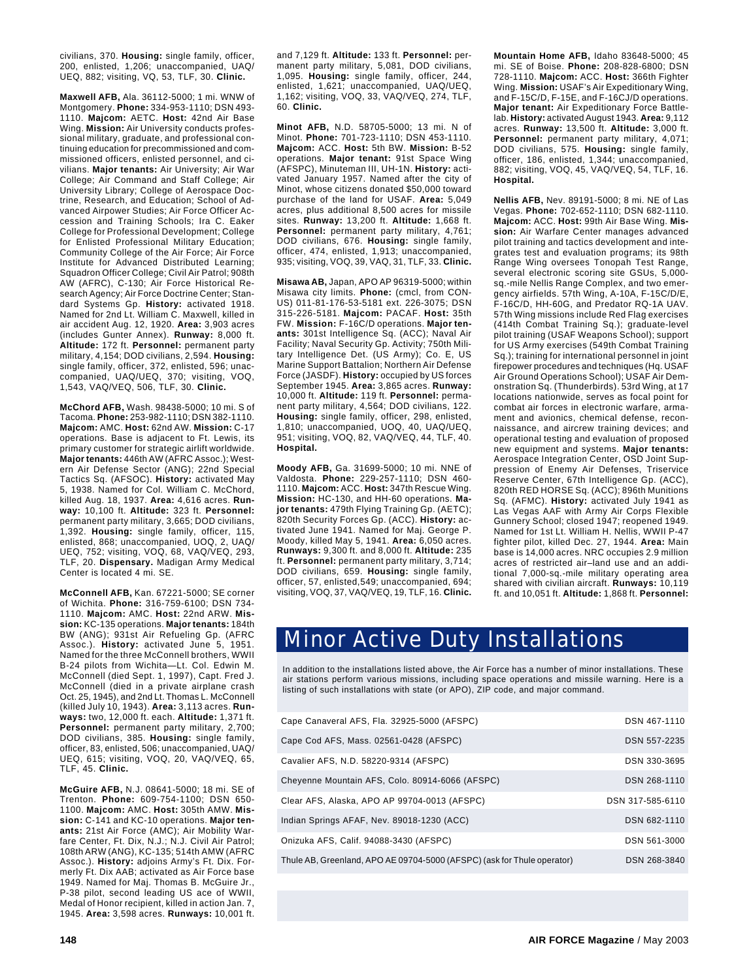civilians, 370. **Housing:** single family, officer, 200, enlisted, 1,206; unaccompanied, UAQ/ UEQ, 882; visiting, VQ, 53, TLF, 30. **Clinic.**

**Maxwell AFB,** Ala. 36112-5000; 1 mi. WNW of Montgomery. **Phone:** 334-953-1110; DSN 493- 1110. **Majcom:** AETC. **Host:** 42nd Air Base Wing. **Mission:** Air University conducts professional military, graduate, and professional continuing education for precommissioned and commissioned officers, enlisted personnel, and civilians. **Major tenants:** Air University; Air War College; Air Command and Staff College; Air University Library; College of Aerospace Doctrine, Research, and Education; School of Advanced Airpower Studies; Air Force Officer Accession and Training Schools; Ira C. Eaker College for Professional Development; College for Enlisted Professional Military Education; Community College of the Air Force; Air Force Institute for Advanced Distributed Learning; Squadron Officer College; Civil Air Patrol; 908th AW (AFRC), C-130; Air Force Historical Research Agency; Air Force Doctrine Center; Standard Systems Gp. **History:** activated 1918. Named for 2nd Lt. William C. Maxwell, killed in air accident Aug. 12, 1920. **Area:** 3,903 acres (includes Gunter Annex). **Runway:** 8,000 ft. **Altitude:** 172 ft. **Personnel:** permanent party military, 4,154; DOD civilians, 2,594. **Housing:** single family, officer, 372, enlisted, 596; unaccompanied, UAQ/UEQ, 370; visiting, VOQ, 1,543, VAQ/VEQ, 506, TLF, 30. **Clinic.**

**McChord AFB,** Wash. 98438-5000; 10 mi. S of Tacoma. **Phone:** 253-982-1110; DSN 382-1110. **Majcom:** AMC. **Host:** 62nd AW. **Mission:** C-17 operations. Base is adjacent to Ft. Lewis, its primary customer for strategic airlift worldwide. **Major tenants:** 446th AW (AFRC Assoc.); Western Air Defense Sector (ANG); 22nd Special Tactics Sq. (AFSOC). **History:** activated May 5, 1938. Named for Col. William C. McChord, killed Aug. 18, 1937. **Area:** 4,616 acres. **Runway:** 10,100 ft. **Altitude:** 323 ft. **Personnel:** permanent party military, 3,665; DOD civilians, 1,392. **Housing:** single family, officer, 115, enlisted, 868; unaccompanied, UOQ, 2, UAQ/ UEQ, 752; visiting, VOQ, 68, VAQ/VEQ, 293, TLF, 20. **Dispensary.** Madigan Army Medical Center is located 4 mi. SE.

**McConnell AFB,** Kan. 67221-5000; SE corner of Wichita. **Phone:** 316-759-6100; DSN 734- 1110. **Majcom:** AMC. **Host:** 22nd ARW. **Mission:** KC-135 operations. **Major tenants:** 184th BW (ANG); 931st Air Refueling Gp. (AFRC Assoc.). **History:** activated June 5, 1951. Named for the three McConnell brothers, WWII B-24 pilots from Wichita—Lt. Col. Edwin M. McConnell (died Sept. 1, 1997), Capt. Fred J. McConnell (died in a private airplane crash Oct. 25, 1945), and 2nd Lt. Thomas L. McConnell (killed July 10, 1943). **Area:** 3,113 acres. **Runways:** two, 12,000 ft. each. **Altitude:** 1,371 ft. **Personnel:** permanent party military, 2,700; DOD civilians, 385. **Housing:** single family, officer, 83, enlisted, 506; unaccompanied, UAQ/ UEQ, 615; visiting, VOQ, 20, VAQ/VEQ, 65, TLF, 45. **Clinic.**

**McGuire AFB,** N.J. 08641-5000; 18 mi. SE of Trenton. **Phone:** 609-754-1100; DSN 650- 1100. **Majcom:** AMC. **Host:** 305th AMW. **Mission:** C-141 and KC-10 operations. **Major tenants:** 21st Air Force (AMC); Air Mobility Warfare Center, Ft. Dix, N.J.; N.J. Civil Air Patrol; 108th ARW (ANG), KC-135; 514th AMW (AFRC Assoc.). **History:** adjoins Army's Ft. Dix. Formerly Ft. Dix AAB; activated as Air Force base 1949. Named for Maj. Thomas B. McGuire Jr., P-38 pilot, second leading US ace of WWII, Medal of Honor recipient, killed in action Jan. 7, 1945. **Area:** 3,598 acres. **Runways:** 10,001 ft.

and 7,129 ft. **Altitude:** 133 ft. **Personnel:** permanent party military, 5,081, DOD civilians, 1,095. **Housing:** single family, officer, 244, enlisted, 1,621; unaccompanied, UAQ/UEQ, 1,162; visiting, VOQ, 33, VAQ/VEQ, 274, TLF, 60. **Clinic.**

**Minot AFB,** N.D. 58705-5000; 13 mi. N of Minot. **Phone:** 701-723-1110; DSN 453-1110. **Majcom:** ACC. **Host:** 5th BW. **Mission:** B-52 operations. **Major tenant:** 91st Space Wing (AFSPC), Minuteman III, UH-1N. **History:** activated January 1957. Named after the city of Minot, whose citizens donated \$50,000 toward purchase of the land for USAF. **Area:** 5,049 acres, plus additional 8,500 acres for missile sites. **Runway:** 13,200 ft. **Altitude:** 1,668 ft. **Personnel:** permanent party military, 4,761; DOD civilians, 676. **Housing:** single family, officer, 474, enlisted, 1,913; unaccompanied, 935; visiting, VOQ, 39, VAQ, 31, TLF, 33. **Clinic.**

**Misawa AB,** Japan, APO AP 96319-5000; within Misawa city limits. **Phone:** (cmcl, from CON-US) 011-81-176-53-5181 ext. 226-3075; DSN 315-226-5181. **Majcom:** PACAF. **Host:** 35th FW. **Mission:** F-16C/D operations. **Major tenants:** 301st Intelligence Sq. (ACC); Naval Air Facility; Naval Security Gp. Activity; 750th Military Intelligence Det. (US Army); Co. E, US Marine Support Battalion; Northern Air Defense Force (JASDF). **History:** occupied by US forces September 1945. **Area:** 3,865 acres. **Runway:** 10,000 ft. **Altitude:** 119 ft. **Personnel:** permanent party military, 4,564; DOD civilians, 122. **Housing:** single family, officer, 298, enlisted, 1,810; unaccompanied, UOQ, 40, UAQ/UEQ, 951; visiting, VOQ, 82, VAQ/VEQ, 44, TLF, 40. **Hospital.**

**Moody AFB,** Ga. 31699-5000; 10 mi. NNE of Valdosta. **Phone:** 229-257-1110; DSN 460- 1110. **Majcom:** ACC. **Host:** 347th Rescue Wing. **Mission:** HC-130, and HH-60 operations. **Major tenants:** 479th Flying Training Gp. (AETC); 820th Security Forces Gp. (ACC). **History:** activated June 1941. Named for Maj. George P. Moody, killed May 5, 1941. **Area:** 6,050 acres. **Runways:** 9,300 ft. and 8,000 ft. **Altitude:** 235 ft. **Personnel:** permanent party military, 3,714; DOD civilians, 659. **Housing:** single family, officer, 57, enlisted,549; unaccompanied, 694; visiting, VOQ, 37, VAQ/VEQ, 19, TLF, 16. **Clinic.**

**Mountain Home AFB,** Idaho 83648-5000; 45 mi. SE of Boise. **Phone:** 208-828-6800; DSN 728-1110. **Majcom:** ACC. **Host:** 366th Fighter Wing. **Mission:** USAF's Air Expeditionary Wing, and F-15C/D, F-15E, and F-16CJ/D operations. **Major tenant:** Air Expeditionary Force Battlelab. **History:** activated August 1943. **Area:** 9,112 acres. **Runway:** 13,500 ft. **Altitude:** 3,000 ft. **Personnel:** permanent party military, 4,071; DOD civilians, 575. **Housing:** single family, officer, 186, enlisted, 1,344; unaccompanied, 882; visiting, VOQ, 45, VAQ/VEQ, 54, TLF, 16. **Hospital.**

**Nellis AFB,** Nev. 89191-5000; 8 mi. NE of Las Vegas. **Phone:** 702-652-1110; DSN 682-1110. **Majcom:** ACC. **Host:** 99th Air Base Wing. **Mission:** Air Warfare Center manages advanced pilot training and tactics development and integrates test and evaluation programs; its 98th Range Wing oversees Tonopah Test Range, several electronic scoring site GSUs, 5,000 sq.-mile Nellis Range Complex, and two emergency airfields. 57th Wing, A-10A, F-15C/D/E, F-16C/D, HH-60G, and Predator RQ-1A UAV. 57th Wing missions include Red Flag exercises (414th Combat Training Sq.); graduate-level pilot training (USAF Weapons School); support for US Army exercises (549th Combat Training Sq.); training for international personnel in joint firepower procedures and techniques (Hq. USAF Air Ground Operations School); USAF Air Demonstration Sq. (Thunderbirds). 53rd Wing, at 17 locations nationwide, serves as focal point for combat air forces in electronic warfare, armament and avionics, chemical defense, reconnaissance, and aircrew training devices; and operational testing and evaluation of proposed new equipment and systems. **Major tenants:** Aerospace Integration Center, OSD Joint Suppression of Enemy Air Defenses, Triservice Reserve Center, 67th Intelligence Gp. (ACC), 820th RED HORSE Sq. (ACC); 896th Munitions Sq. (AFMC). **History:** activated July 1941 as Las Vegas AAF with Army Air Corps Flexible Gunnery School; closed 1947; reopened 1949. Named for 1st Lt. William H. Nellis, WWII P-47 fighter pilot, killed Dec. 27, 1944. **Area:** Main base is 14,000 acres. NRC occupies 2.9 million acres of restricted air–land use and an additional 7,000-sq.-mile military operating area shared with civilian aircraft. **Runways:** 10,119 ft. and 10,051 ft. **Altitude:** 1,868 ft. **Personnel:**

## Minor Active Duty Installations

In addition to the installations listed above, the Air Force has a number of minor installations. These air stations perform various missions, including space operations and missile warning. Here is a listing of such installations with state (or APO), ZIP code, and major command.

| Cape Canaveral AFS, Fla. 32925-5000 (AFSPC)                             | DSN 467-1110     |
|-------------------------------------------------------------------------|------------------|
| Cape Cod AFS, Mass. 02561-0428 (AFSPC)                                  | DSN 557-2235     |
| Cavalier AFS, N.D. 58220-9314 (AFSPC)                                   | DSN 330-3695     |
| Cheyenne Mountain AFS, Colo. 80914-6066 (AFSPC)                         | DSN 268-1110     |
| Clear AFS, Alaska, APO AP 99704-0013 (AFSPC)                            | DSN 317-585-6110 |
| Indian Springs AFAF, Nev. 89018-1230 (ACC)                              | DSN 682-1110     |
| Onizuka AFS, Calif. 94088-3430 (AFSPC)                                  | DSN 561-3000     |
| Thule AB, Greenland, APO AE 09704-5000 (AFSPC) (ask for Thule operator) | DSN 268-3840     |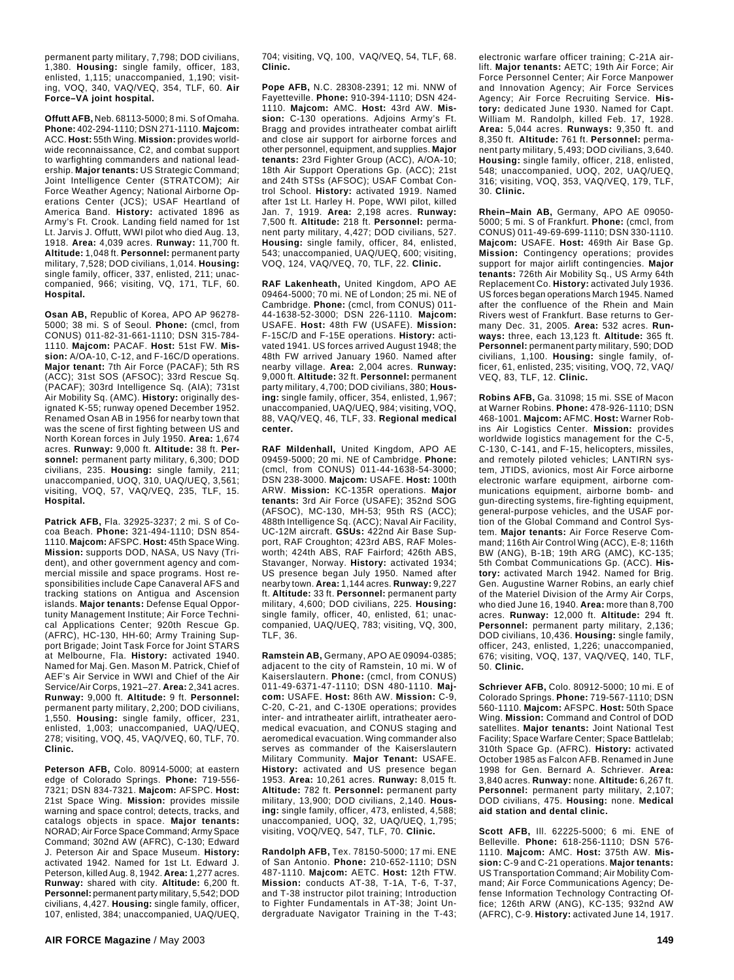permanent party military, 7,798; DOD civilians, 1,380. **Housing:** single family, officer, 183, enlisted, 1,115; unaccompanied, 1,190; visiting, VOQ, 340, VAQ/VEQ, 354, TLF, 60. **Air Force–VA joint hospital.**

**Offutt AFB,** Neb. 68113-5000; 8 mi. S of Omaha. **Phone:** 402-294-1110; DSN 271-1110. **Majcom:** ACC. **Host:** 55th Wing. **Mission:** provides worldwide reconnaissance, C2, and combat support to warfighting commanders and national leadership. **Major tenants:** US Strategic Command; Joint Intelligence Center (STRATCOM); Air Force Weather Agency; National Airborne Operations Center (JCS); USAF Heartland of America Band. **History:** activated 1896 as Army's Ft. Crook. Landing field named for 1st Lt. Jarvis J. Offutt, WWI pilot who died Aug. 13, 1918. **Area:** 4,039 acres. **Runway:** 11,700 ft. **Altitude:** 1,048 ft. **Personnel:** permanent party military, 7,528; DOD civilians, 1,014. **Housing:** single family, officer, 337, enlisted, 211; unaccompanied, 966; visiting, VQ, 171, TLF, 60. **Hospital.**

**Osan AB,** Republic of Korea, APO AP 96278- 5000; 38 mi. S of Seoul. **Phone:** (cmcl, from CONUS) 011-82-31-661-1110; DSN 315-784- 1110. **Majcom:** PACAF. **Host:** 51st FW. **Mission:** A/OA-10, C-12, and F-16C/D operations. **Major tenant:** 7th Air Force (PACAF); 5th RS (ACC); 31st SOS (AFSOC); 33rd Rescue Sq. (PACAF); 303rd Intelligence Sq. (AIA); 731st Air Mobility Sq. (AMC). **History:** originally designated K-55; runway opened December 1952. Renamed Osan AB in 1956 for nearby town that was the scene of first fighting between US and North Korean forces in July 1950. **Area:** 1,674 acres. **Runway:** 9,000 ft. **Altitude:** 38 ft. **Personnel:** permanent party military, 6,300; DOD civilians, 235. **Housing:** single family, 211; unaccompanied, UOQ, 310, UAQ/UEQ, 3,561; visiting, VOQ, 57, VAQ/VEQ, 235, TLF, 15. **Hospital.**

**Patrick AFB,** Fla. 32925-3237; 2 mi. S of Cocoa Beach. **Phone:** 321-494-1110; DSN 854- 1110. **Majcom:** AFSPC. **Host:** 45th Space Wing. **Mission:** supports DOD, NASA, US Navy (Trident), and other government agency and commercial missile and space programs. Host responsibilities include Cape Canaveral AFS and tracking stations on Antigua and Ascension islands. **Major tenants:** Defense Equal Opportunity Management Institute; Air Force Technical Applications Center; 920th Rescue Gp. (AFRC), HC-130, HH-60; Army Training Support Brigade; Joint Task Force for Joint STARS at Melbourne, Fla. **History:** activated 1940. Named for Maj. Gen. Mason M. Patrick, Chief of AEF's Air Service in WWI and Chief of the Air Service/Air Corps, 1921–27. **Area:** 2,341 acres. **Runway:** 9,000 ft. **Altitude:** 9 ft. **Personnel:** permanent party military, 2,200; DOD civilians, 1,550. **Housing:** single family, officer, 231, enlisted, 1,003; unaccompanied, UAQ/UEQ, 278; visiting, VOQ, 45, VAQ/VEQ, 60, TLF, 70. **Clinic.**

**Peterson AFB,** Colo. 80914-5000; at eastern edge of Colorado Springs. **Phone:** 719-556- 7321; DSN 834-7321. **Majcom:** AFSPC. **Host:** 21st Space Wing. **Mission:** provides missile warning and space control; detects, tracks, and catalogs objects in space. **Major tenants:** NORAD; Air Force Space Command; Army Space Command; 302nd AW (AFRC), C-130; Edward J. Peterson Air and Space Museum. **History:** activated 1942. Named for 1st Lt. Edward J. Peterson, killed Aug. 8, 1942. **Area:** 1,277 acres. **Runway:** shared with city. **Altitude:** 6,200 ft. **Personnel:** permanent party military, 5,542; DOD civilians, 4,427. **Housing:** single family, officer, 107, enlisted, 384; unaccompanied, UAQ/UEQ,

704; visiting, VQ, 100, VAQ/VEQ, 54, TLF, 68. **Clinic.**

**Pope AFB,** N.C. 28308-2391; 12 mi. NNW of Fayetteville. **Phone:** 910-394-1110; DSN 424- 1110. **Majcom:** AMC. **Host:** 43rd AW. **Mission:** C-130 operations. Adjoins Army's Ft. Bragg and provides intratheater combat airlift and close air support for airborne forces and other personnel, equipment, and supplies. **Major tenants:** 23rd Fighter Group (ACC), A/OA-10; 18th Air Support Operations Gp. (ACC); 21st and 24th STSs (AFSOC); USAF Combat Control School. **History:** activated 1919. Named after 1st Lt. Harley H. Pope, WWI pilot, killed Jan. 7, 1919. **Area:** 2,198 acres. **Runway:** 7,500 ft. **Altitude:** 218 ft. **Personnel:** permanent party military, 4,427; DOD civilians, 527. **Housing:** single family, officer, 84, enlisted, 543; unaccompanied, UAQ/UEQ, 600; visiting, VOQ, 124, VAQ/VEQ, 70, TLF, 22. **Clinic.**

**RAF Lakenheath,** United Kingdom, APO AE 09464-5000; 70 mi. NE of London; 25 mi. NE of Cambridge. **Phone:** (cmcl, from CONUS) 011- 44-1638-52-3000; DSN 226-1110. **Majcom:** USAFE. **Host:** 48th FW (USAFE). **Mission:** F-15C/D and F-15E operations. **History:** activated 1941. US forces arrived August 1948; the 48th FW arrived January 1960. Named after nearby village. **Area:** 2,004 acres. **Runway:** 9,000 ft. **Altitude:** 32 ft. **Personnel:** permanent party military, 4,700; DOD civilians, 380; **Housing:** single family, officer, 354, enlisted, 1,967; unaccompanied, UAQ/UEQ, 984; visiting, VOQ, 88, VAQ/VEQ, 46, TLF, 33. **Regional medical center.**

**RAF Mildenhall,** United Kingdom, APO AE 09459-5000; 20 mi. NE of Cambridge. **Phone:** (cmcl, from CONUS) 011-44-1638-54-3000; DSN 238-3000. **Majcom:** USAFE. **Host:** 100th ARW. **Mission:** KC-135R operations. **Major tenants:** 3rd Air Force (USAFE); 352nd SOG (AFSOC), MC-130, MH-53; 95th RS (ACC); 488th Intelligence Sq. (ACC); Naval Air Facility, UC-12M aircraft. **GSUs:** 422nd Air Base Support, RAF Croughton; 423rd ABS, RAF Molesworth; 424th ABS, RAF Fairford; 426th ABS, Stavanger, Norway. **History:** activated 1934; US presence began July 1950. Named after nearby town. **Area:** 1,144 acres. **Runway:** 9,227 ft. **Altitude:** 33 ft. **Personnel:** permanent party military, 4,600; DOD civilians, 225. **Housing:** single family, officer, 40, enlisted, 61; unaccompanied, UAQ/UEQ, 783; visiting, VQ, 300, TLF, 36.

**Ramstein AB,** Germany, APO AE 09094-0385; adjacent to the city of Ramstein, 10 mi. W of Kaiserslautern. **Phone:** (cmcl, from CONUS) 011-49-6371-47-1110; DSN 480-1110. **Majcom:** USAFE. **Host:** 86th AW. **Mission:** C-9, C-20, C-21, and C-130E operations; provides inter- and intratheater airlift, intratheater aeromedical evacuation, and CONUS staging and aeromedical evacuation. Wing commander also serves as commander of the Kaiserslautern Military Community. **Major Tenant:** USAFE. **History:** activated and US presence began 1953. **Area:** 10,261 acres. **Runway:** 8,015 ft. **Altitude:** 782 ft. **Personnel:** permanent party military, 13,900; DOD civilians, 2,140. **Housing:** single family, officer, 473, enlisted, 4,588; unaccompanied, UOQ, 32, UAQ/UEQ, 1,795; visiting, VOQ/VEQ, 547, TLF, 70. **Clinic.**

**Randolph AFB,** Tex. 78150-5000; 17 mi. ENE of San Antonio. **Phone:** 210-652-1110; DSN 487-1110. **Majcom:** AETC. **Host:** 12th FTW. **Mission:** conducts AT-38, T-1A, T-6, T-37, and T-38 instructor pilot training; Introduction to Fighter Fundamentals in AT-38; Joint Undergraduate Navigator Training in the T-43;

electronic warfare officer training; C-21A airlift. **Major tenants:** AETC; 19th Air Force; Air Force Personnel Center; Air Force Manpower and Innovation Agency; Air Force Services Agency; Air Force Recruiting Service. **History:** dedicated June 1930. Named for Capt. William M. Randolph, killed Feb. 17, 1928. **Area:** 5,044 acres. **Runways:** 9,350 ft. and 8,350 ft. **Altitude:** 761 ft. **Personnel:** permanent party military, 5,493; DOD civilians, 3,640. **Housing:** single family, officer, 218, enlisted, 548; unaccompanied, UOQ, 202, UAQ/UEQ, 316; visiting, VOQ, 353, VAQ/VEQ, 179, TLF, 30. **Clinic.**

**Rhein–Main AB,** Germany, APO AE 09050- 5000; 5 mi. S of Frankfurt. **Phone:** (cmcl, from CONUS) 011-49-69-699-1110; DSN 330-1110. **Majcom:** USAFE. **Host:** 469th Air Base Gp. **Mission:** Contingency operations; provides support for major airlift contingencies. **Major tenants:** 726th Air Mobility Sq., US Army 64th Replacement Co. **History:** activated July 1936. US forces began operations March 1945. Named after the confluence of the Rhein and Main Rivers west of Frankfurt. Base returns to Germany Dec. 31, 2005. **Area:** 532 acres. **Runways:** three, each 13,123 ft. **Altitude:** 365 ft. **Personnel:** permanent party military, 590; DOD civilians, 1,100. **Housing:** single family, officer, 61, enlisted, 235; visiting, VOQ, 72, VAQ/ VEQ, 83, TLF, 12. **Clinic.**

**Robins AFB,** Ga. 31098; 15 mi. SSE of Macon at Warner Robins. **Phone:** 478-926-1110; DSN 468-1001. **Majcom:** AFMC. **Host:** Warner Robins Air Logistics Center. **Mission:** provides worldwide logistics management for the C-5, C-130, C-141, and F-15, helicopters, missiles, and remotely piloted vehicles; LANTIRN system, JTIDS, avionics, most Air Force airborne electronic warfare equipment, airborne communications equipment, airborne bomb- and gun-directing systems, fire-fighting equipment, general-purpose vehicles, and the USAF portion of the Global Command and Control System. **Major tenants:** Air Force Reserve Command; 116th Air Control Wing (ACC), E-8; 116th BW (ANG), B-1B; 19th ARG (AMC), KC-135; 5th Combat Communications Gp. (ACC). **History:** activated March 1942. Named for Brig. Gen. Augustine Warner Robins, an early chief of the Materiel Division of the Army Air Corps, who died June 16, 1940. **Area:** more than 8,700 acres. **Runway:** 12,000 ft. **Altitude:** 294 ft. **Personnel:** permanent party military, 2,136; DOD civilians, 10,436. **Housing:** single family, officer, 243, enlisted, 1,226; unaccompanied, 676; visiting, VOQ, 137, VAQ/VEQ, 140, TLF, 50. **Clinic.**

**Schriever AFB,** Colo. 80912-5000; 10 mi. E of Colorado Springs. **Phone:** 719-567-1110; DSN 560-1110. **Majcom:** AFSPC. **Host:** 50th Space Wing. **Mission:** Command and Control of DOD satellites. **Major tenants:** Joint National Test Facility; Space Warfare Center; Space Battlelab; 310th Space Gp. (AFRC). **History:** activated October 1985 as Falcon AFB. Renamed in June 1998 for Gen. Bernard A. Schriever. **Area:** 3,840 acres. **Runway:** none. **Altitude:** 6,267 ft. **Personnel:** permanent party military, 2,107; DOD civilians, 475. **Housing:** none. **Medical aid station and dental clinic.**

**Scott AFB,** Ill. 62225-5000; 6 mi. ENE of Belleville. **Phone:** 618-256-1110; DSN 576- 1110. **Majcom:** AMC. **Host:** 375th AW. **Mission:** C-9 and C-21 operations. **Major tenants:** US Transportation Command; Air Mobility Command; Air Force Communications Agency; Defense Information Technology Contracting Office; 126th ARW (ANG), KC-135; 932nd AW (AFRC), C-9. **History:** activated June 14, 1917.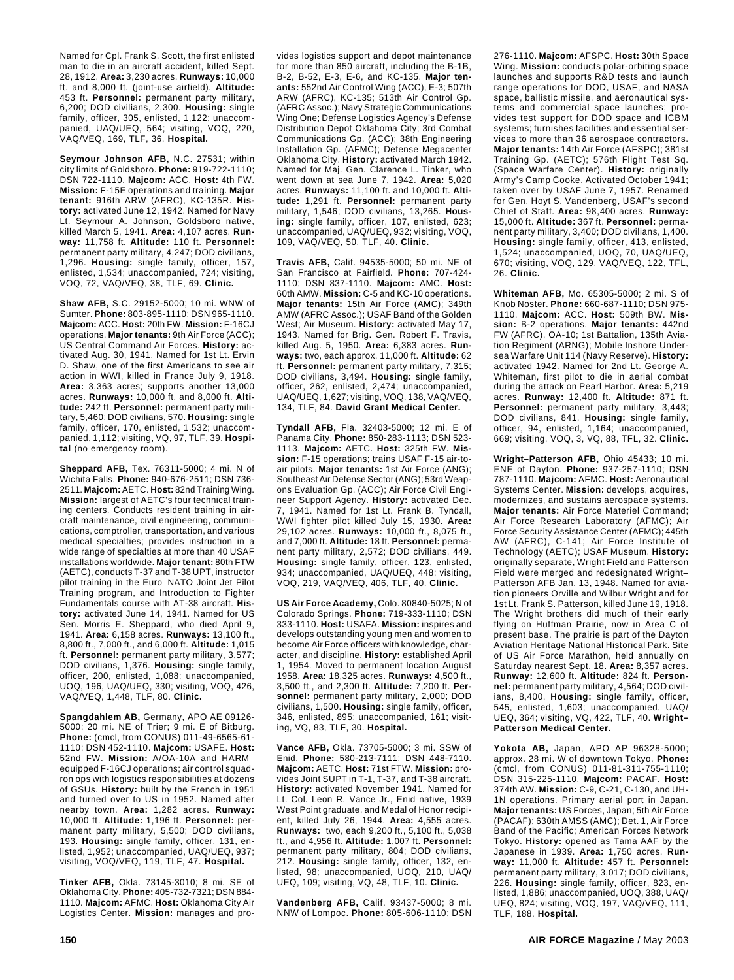Named for Cpl. Frank S. Scott, the first enlisted man to die in an aircraft accident, killed Sept. 28, 1912. **Area:** 3,230 acres. **Runways:** 10,000 ft. and 8,000 ft. (joint-use airfield). **Altitude:** 453 ft. **Personnel:** permanent party military, 6,200; DOD civilians, 2,300. **Housing:** single family, officer, 305, enlisted, 1,122; unaccompanied, UAQ/UEQ, 564; visiting, VOQ, 220, VAQ/VEQ, 169, TLF, 36. **Hospital.**

**Seymour Johnson AFB,** N.C. 27531; within city limits of Goldsboro. **Phone:** 919-722-1110; DSN 722-1110. **Majcom:** ACC. **Host:** 4th FW. **Mission:** F-15E operations and training. **Major tenant:** 916th ARW (AFRC), KC-135R. **History:** activated June 12, 1942. Named for Navy Lt. Seymour A. Johnson, Goldsboro native, killed March 5, 1941. **Area:** 4,107 acres. **Runway:** 11,758 ft. **Altitude:** 110 ft. **Personnel:** permanent party military, 4,247; DOD civilians, 1,296. **Housing:** single family, officer, 157, enlisted, 1,534; unaccompanied, 724; visiting, VOQ, 72, VAQ/VEQ, 38, TLF, 69. **Clinic.**

**Shaw AFB,** S.C. 29152-5000; 10 mi. WNW of Sumter. **Phone:** 803-895-1110; DSN 965-1110. **Majcom:** ACC. **Host:** 20th FW. **Mission:** F-16CJ operations. **Major tenants:** 9th Air Force (ACC); US Central Command Air Forces. **History:** activated Aug. 30, 1941. Named for 1st Lt. Ervin D. Shaw, one of the first Americans to see air action in WWI, killed in France July 9, 1918. **Area:** 3,363 acres; supports another 13,000 acres. **Runways:** 10,000 ft. and 8,000 ft. **Altitude:** 242 ft. **Personnel:** permanent party military, 5,460; DOD civilians, 570. **Housing:** single family, officer, 170, enlisted, 1,532; unaccompanied, 1,112; visiting, VQ, 97, TLF, 39. **Hospital** (no emergency room).

**Sheppard AFB,** Tex. 76311-5000; 4 mi. N of Wichita Falls. **Phone:** 940-676-2511; DSN 736- 2511. **Majcom:** AETC. **Host:** 82nd Training Wing. **Mission:** largest of AETC's four technical training centers. Conducts resident training in aircraft maintenance, civil engineering, communications, comptroller, transportation, and various medical specialties; provides instruction in a wide range of specialties at more than 40 USAF installations worldwide. **Major tenant:** 80th FTW (AETC), conducts T-37 and T-38 UPT, instructor pilot training in the Euro–NATO Joint Jet Pilot Training program, and Introduction to Fighter Fundamentals course with AT-38 aircraft. **History:** activated June 14, 1941. Named for US Sen. Morris E. Sheppard, who died April 9, 1941. **Area:** 6,158 acres. **Runways:** 13,100 ft., 8,800 ft., 7,000 ft., and 6,000 ft. **Altitude:** 1,015 ft. **Personnel:** permanent party military, 3,577; DOD civilians, 1,376. **Housing:** single family, officer, 200, enlisted, 1,088; unaccompanied, UOQ, 196, UAQ/UEQ, 330; visiting, VOQ, 426, VAQ/VEQ, 1,448, TLF, 80. **Clinic.**

**Spangdahlem AB,** Germany, APO AE 09126- 5000; 20 mi. NE of Trier; 9 mi. E of Bitburg. **Phone:** (cmcl, from CONUS) 011-49-6565-61- 1110; DSN 452-1110. **Majcom:** USAFE. **Host:** 52nd FW. **Mission:** A/OA-10A and HARM– equipped F-16CJ operations; air control squadron ops with logistics responsibilities at dozens of GSUs. **History:** built by the French in 1951 and turned over to US in 1952. Named after nearby town. **Area:** 1,282 acres. **Runway:** 10,000 ft. **Altitude:** 1,196 ft. **Personnel:** permanent party military, 5,500; DOD civilians, 193. **Housing:** single family, officer, 131, enlisted, 1,952; unaccompanied, UAQ/UEQ, 937; visiting, VOQ/VEQ, 119, TLF, 47. **Hospital.**

**Tinker AFB,** Okla. 73145-3010; 8 mi. SE of Oklahoma City. **Phone:** 405-732-7321; DSN 884- 1110. **Majcom:** AFMC. **Host:** Oklahoma City Air Logistics Center. **Mission:** manages and provides logistics support and depot maintenance for more than 850 aircraft, including the B-1B, B-2, B-52, E-3, E-6, and KC-135. **Major tenants:** 552nd Air Control Wing (ACC), E-3; 507th ARW (AFRC), KC-135; 513th Air Control Gp. (AFRC Assoc.); Navy Strategic Communications Wing One; Defense Logistics Agency's Defense Distribution Depot Oklahoma City; 3rd Combat Communications Gp. (ACC); 38th Engineering Installation Gp. (AFMC); Defense Megacenter Oklahoma City. **History:** activated March 1942. Named for Maj. Gen. Clarence L. Tinker, who went down at sea June 7, 1942. **Area:** 5,020 acres. **Runways:** 11,100 ft. and 10,000 ft. **Altitude:** 1,291 ft. **Personnel:** permanent party military, 1,546; DOD civilians, 13,265. **Housing:** single family, officer, 107, enlisted, 623; unaccompanied, UAQ/UEQ, 932; visiting, VOQ, 109, VAQ/VEQ, 50, TLF, 40. **Clinic.**

**Travis AFB,** Calif. 94535-5000; 50 mi. NE of San Francisco at Fairfield. **Phone:** 707-424- 1110; DSN 837-1110. **Majcom:** AMC. **Host:** 60th AMW. **Mission:** C-5 and KC-10 operations. **Major tenants:** 15th Air Force (AMC); 349th AMW (AFRC Assoc.); USAF Band of the Golden West; Air Museum. **History:** activated May 17, 1943. Named for Brig. Gen. Robert F. Travis, killed Aug. 5, 1950. **Area:** 6,383 acres. **Runways:** two, each approx. 11,000 ft. **Altitude:** 62 ft. **Personnel:** permanent party military, 7,315; DOD civilians, 3,494. **Housing:** single family, officer, 262, enlisted, 2,474; unaccompanied, UAQ/UEQ, 1,627; visiting, VOQ, 138, VAQ/VEQ, 134, TLF, 84. **David Grant Medical Center.**

**Tyndall AFB,** Fla. 32403-5000; 12 mi. E of Panama City. **Phone:** 850-283-1113; DSN 523- 1113. **Majcom:** AETC. **Host:** 325th FW. **Mission:** F-15 operations; trains USAF F-15 air-toair pilots. **Major tenants:** 1st Air Force (ANG); Southeast Air Defense Sector (ANG); 53rd Weapons Evaluation Gp. (ACC); Air Force Civil Engineer Support Agency. **History:** activated Dec. 7, 1941. Named for 1st Lt. Frank B. Tyndall, WWI fighter pilot killed July 15, 1930. **Area:** 29,102 acres. **Runways:** 10,000 ft., 8,075 ft., and 7,000 ft. **Altitude:** 18 ft. **Personnel:** permanent party military, 2,572; DOD civilians, 449. **Housing:** single family, officer, 123, enlisted, 934; unaccompanied, UAQ/UEQ, 448; visiting, VOQ, 219, VAQ/VEQ, 406, TLF, 40. **Clinic.**

**US Air Force Academy,** Colo. 80840-5025; N of Colorado Springs. **Phone:** 719-333-1110; DSN 333-1110. **Host:** USAFA. **Mission:** inspires and develops outstanding young men and women to become Air Force officers with knowledge, character, and discipline. **History:** established April 1, 1954. Moved to permanent location August 1958. **Area:** 18,325 acres. **Runways:** 4,500 ft., 3,500 ft., and 2,300 ft. **Altitude:** 7,200 ft. **Personnel:** permanent party military, 2,000; DOD civilians, 1,500. **Housing:** single family, officer, 346, enlisted, 895; unaccompanied, 161; visiting, VQ, 83, TLF, 30. **Hospital.**

**Vance AFB,** Okla. 73705-5000; 3 mi. SSW of Enid. **Phone:** 580-213-7111; DSN 448-7110. **Majcom:** AETC. **Host:** 71st FTW. **Mission:** provides Joint SUPT in T-1, T-37, and T-38 aircraft. **History:** activated November 1941. Named for Lt. Col. Leon R. Vance Jr., Enid native, 1939 West Point graduate, and Medal of Honor recipient, killed July 26, 1944. **Area:** 4,555 acres. **Runways:** two, each 9,200 ft., 5,100 ft., 5,038 ft., and 4,956 ft. **Altitude:** 1,007 ft. **Personnel:** permanent party military, 804; DOD civilians, 212. **Housing:** single family, officer, 132, enlisted, 98; unaccompanied, UOQ, 210, UAQ/ UEQ, 109; visiting, VQ, 48, TLF, 10. **Clinic.**

**Vandenberg AFB,** Calif. 93437-5000; 8 mi. NNW of Lompoc. **Phone:** 805-606-1110; DSN 276-1110. **Majcom:** AFSPC. **Host:** 30th Space Wing. **Mission:** conducts polar-orbiting space launches and supports R&D tests and launch range operations for DOD, USAF, and NASA space, ballistic missile, and aeronautical systems and commercial space launches; provides test support for DOD space and ICBM systems; furnishes facilities and essential services to more than 36 aerospace contractors. **Major tenants:** 14th Air Force (AFSPC); 381st Training Gp. (AETC); 576th Flight Test Sq. (Space Warfare Center). **History:** originally Army's Camp Cooke. Activated October 1941; taken over by USAF June 7, 1957. Renamed for Gen. Hoyt S. Vandenberg, USAF's second Chief of Staff. **Area:** 98,400 acres. **Runway:** 15,000 ft. **Altitude:** 367 ft. **Personnel:** permanent party military, 3,400; DOD civilians, 1,400. **Housing:** single family, officer, 413, enlisted, 1,524; unaccompanied, UOQ, 70, UAQ/UEQ, 670; visiting, VOQ, 129, VAQ/VEQ, 122, TFL, 26. **Clinic.**

**Whiteman AFB,** Mo. 65305-5000; 2 mi. S of Knob Noster. **Phone:** 660-687-1110; DSN 975- 1110. **Majcom:** ACC. **Host:** 509th BW. **Mission:** B-2 operations. **Major tenants:** 442nd FW (AFRC), OA-10; 1st Battalion, 135th Aviation Regiment (ARNG); Mobile Inshore Undersea Warfare Unit 114 (Navy Reserve). **History:** activated 1942. Named for 2nd Lt. George A. Whiteman, first pilot to die in aerial combat during the attack on Pearl Harbor. **Area:** 5,219 acres. **Runway:** 12,400 ft. **Altitude:** 871 ft. **Personnel:** permanent party military, 3,443; DOD civilians, 841. **Housing:** single family, officer, 94, enlisted, 1,164; unaccompanied, 669; visiting, VOQ, 3, VQ, 88, TFL, 32. **Clinic.**

**Wright–Patterson AFB,** Ohio 45433; 10 mi. ENE of Dayton. **Phone:** 937-257-1110; DSN 787-1110. **Majcom:** AFMC. **Host:** Aeronautical Systems Center. **Mission:** develops, acquires, modernizes, and sustains aerospace systems. **Major tenants:** Air Force Materiel Command; Air Force Research Laboratory (AFMC); Air Force Security Assistance Center (AFMC); 445th AW (AFRC), C-141; Air Force Institute of Technology (AETC); USAF Museum. **History:** originally separate, Wright Field and Patterson Field were merged and redesignated Wright– Patterson AFB Jan. 13, 1948. Named for aviation pioneers Orville and Wilbur Wright and for 1st Lt. Frank S. Patterson, killed June 19, 1918. The Wright brothers did much of their early flying on Huffman Prairie, now in Area C of present base. The prairie is part of the Dayton Aviation Heritage National Historical Park. Site of US Air Force Marathon, held annually on Saturday nearest Sept. 18. **Area:** 8,357 acres. **Runway:** 12,600 ft. **Altitude:** 824 ft. **Personnel:** permanent party military, 4,564; DOD civilians, 8,400. **Housing:** single family, officer, 545, enlisted, 1,603; unaccompanied, UAQ/ UEQ, 364; visiting, VQ, 422, TLF, 40. **Wright– Patterson Medical Center.**

**Yokota AB,** Japan, APO AP 96328-5000; approx. 28 mi. W of downtown Tokyo. **Phone:** (cmcl, from CONUS) 011-81-311-755-1110; DSN 315-225-1110. **Majcom:** PACAF. **Host:** 374th AW. **Mission:** C-9, C-21, C-130, and UH-1N operations. Primary aerial port in Japan. **Major tenants:** US Forces, Japan; 5th Air Force (PACAF); 630th AMSS (AMC); Det. 1, Air Force Band of the Pacific; American Forces Network Tokyo. **History:** opened as Tama AAF by the Japanese in 1939. **Area:** 1,750 acres. **Runway:** 11,000 ft. **Altitude:** 457 ft. **Personnel:** permanent party military, 3,017; DOD civilians, 226. **Housing:** single family, officer, 823, enlisted, 1,886; unaccompanied, UOQ, 388, UAQ/ UEQ, 824; visiting, VOQ, 197, VAQ/VEQ, 111, TLF, 188. **Hospital.**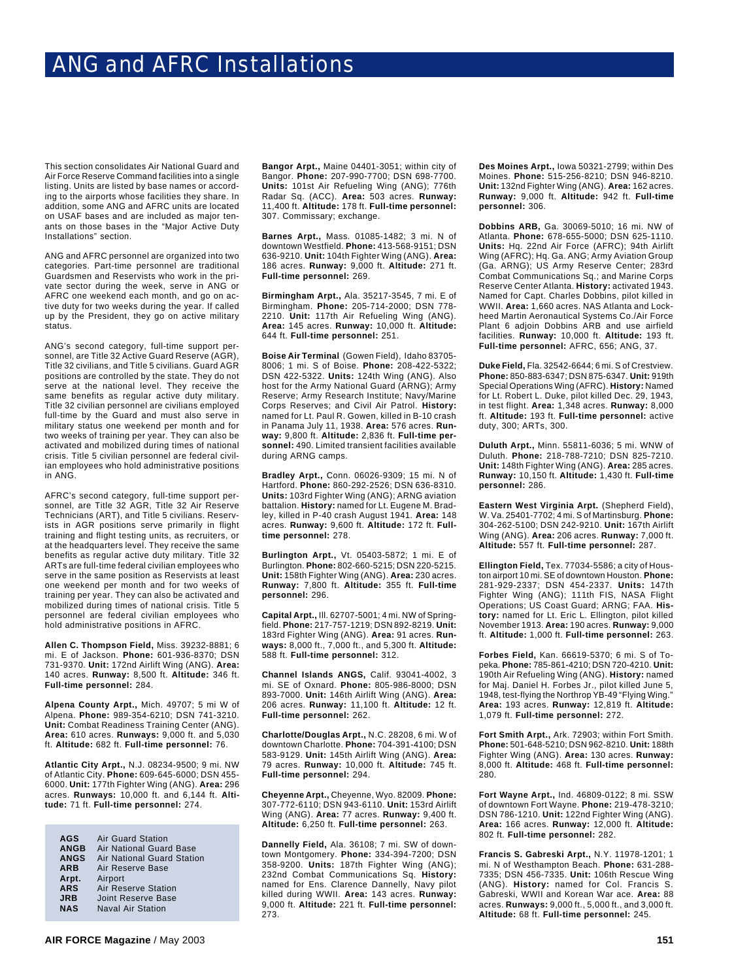This section consolidates Air National Guard and Air Force Reserve Command facilities into a single listing. Units are listed by base names or according to the airports whose facilities they share. In addition, some ANG and AFRC units are located on USAF bases and are included as major tenants on those bases in the "Major Active Duty Installations" section.

ANG and AFRC personnel are organized into two categories. Part-time personnel are traditional Guardsmen and Reservists who work in the private sector during the week, serve in ANG or AFRC one weekend each month, and go on active duty for two weeks during the year. If called up by the President, they go on active military status.

ANG's second category, full-time support personnel, are Title 32 Active Guard Reserve (AGR), Title 32 civilians, and Title 5 civilians. Guard AGR positions are controlled by the state. They do not serve at the national level. They receive the same benefits as regular active duty military. Title 32 civilian personnel are civilians employed full-time by the Guard and must also serve in military status one weekend per month and for two weeks of training per year. They can also be activated and mobilized during times of national crisis. Title 5 civilian personnel are federal civilian employees who hold administrative positions in ANG.

AFRC's second category, full-time support personnel, are Title 32 AGR, Title 32 Air Reserve Technicians (ART), and Title 5 civilians. Reservists in AGR positions serve primarily in flight training and flight testing units, as recruiters, or at the headquarters level. They receive the same benefits as regular active duty military. Title 32 ARTs are full-time federal civilian employees who serve in the same position as Reservists at least one weekend per month and for two weeks of training per year. They can also be activated and mobilized during times of national crisis. Title 5 personnel are federal civilian employees who hold administrative positions in AFRC.

**Allen C. Thompson Field,** Miss. 39232-8881; 6 mi. E of Jackson. **Phone:** 601-936-8370; DSN 731-9370. **Unit:** 172nd Airlift Wing (ANG). **Area:** 140 acres. **Runway:** 8,500 ft. **Altitude:** 346 ft. **Full-time personnel:** 284.

**Alpena County Arpt.,** Mich. 49707; 5 mi W of Alpena. **Phone:** 989-354-6210; DSN 741-3210. **Unit:** Combat Readiness Training Center (ANG). **Area:** 610 acres. **Runways:** 9,000 ft. and 5,030 ft. **Altitude:** 682 ft. **Full-time personnel:** 76.

**Atlantic City Arpt.,** N.J. 08234-9500; 9 mi. NW of Atlantic City. **Phone:** 609-645-6000; DSN 455- 6000. **Unit:** 177th Fighter Wing (ANG). **Area:** 296 acres. **Runways:** 10,000 ft. and 6,144 ft. **Altitude:** 71 ft. **Full-time personnel:** 274.

| AGS         | <b>Air Guard Station</b>   |
|-------------|----------------------------|
| <b>ANGB</b> | Air National Guard Base    |
| <b>ANGS</b> | Air National Guard Station |
| <b>ARB</b>  | Air Reserve Base           |
| Arpt.       | Airport                    |
| <b>ARS</b>  | <b>Air Reserve Station</b> |
| <b>JRB</b>  | Joint Reserve Base         |
| <b>NAS</b>  | <b>Naval Air Station</b>   |

**Bangor Arpt.,** Maine 04401-3051; within city of Bangor. **Phone:** 207-990-7700; DSN 698-7700. **Units:** 101st Air Refueling Wing (ANG); 776th Radar Sq. (ACC). **Area:** 503 acres. **Runway:** 11,400 ft. **Altitude:** 178 ft. **Full-time personnel:** 307. Commissary; exchange.

**Barnes Arpt.,** Mass. 01085-1482; 3 mi. N of downtown Westfield. **Phone:** 413-568-9151; DSN 636-9210. **Unit:** 104th Fighter Wing (ANG). **Area:** 186 acres. **Runway:** 9,000 ft. **Altitude:** 271 ft. **Full-time personnel:** 269.

**Birmingham Arpt.,** Ala. 35217-3545, 7 mi. E of Birmingham. **Phone:** 205-714-2000; DSN 778- 2210. **Unit:** 117th Air Refueling Wing (ANG). **Area:** 145 acres. **Runway:** 10,000 ft. **Altitude:** 644 ft. **Full-time personnel:** 251.

**Boise Air Terminal** (Gowen Field), Idaho 83705- 8006; 1 mi. S of Boise. **Phone:** 208-422-5322; DSN 422-5322. **Units:** 124th Wing (ANG). Also host for the Army National Guard (ARNG); Army Reserve; Army Research Institute; Navy/Marine Corps Reserves; and Civil Air Patrol. **History:** named for Lt. Paul R. Gowen, killed in B-10 crash in Panama July 11, 1938. **Area:** 576 acres. **Runway:** 9,800 ft. **Altitude:** 2,836 ft. **Full-time personnel:** 490. Limited transient facilities available during ARNG camps.

**Bradley Arpt.,** Conn. 06026-9309; 15 mi. N of Hartford. **Phone:** 860-292-2526; DSN 636-8310. **Units:** 103rd Fighter Wing (ANG); ARNG aviation battalion. **History:** named for Lt. Eugene M. Bradley, killed in P-40 crash August 1941. **Area:** 148 acres. **Runway:** 9,600 ft. **Altitude:** 172 ft. **Fulltime personnel:** 278.

**Burlington Arpt.,** Vt. 05403-5872; 1 mi. E of Burlington. **Phone:** 802-660-5215; DSN 220-5215. **Unit:** 158th Fighter Wing (ANG). **Area:** 230 acres. **Runway:** 7,800 ft. **Altitude:** 355 ft. **Full-time personnel:** 296.

**Capital Arpt.,** Ill. 62707-5001; 4 mi. NW of Springfield. **Phone:** 217-757-1219; DSN 892-8219. **Unit:** 183rd Fighter Wing (ANG). **Area:** 91 acres. **Runways:** 8,000 ft., 7,000 ft., and 5,300 ft. **Altitude:** 588 ft. **Full-time personnel:** 312.

**Channel Islands ANGS,** Calif. 93041-4002, 3 mi. SE of Oxnard. **Phone:** 805-986-8000; DSN 893-7000. **Unit:** 146th Airlift Wing (ANG). **Area:** 206 acres. **Runway:** 11,100 ft. **Altitude:** 12 ft. **Full-time personnel:** 262.

**Charlotte/Douglas Arpt.,** N.C. 28208, 6 mi. W of downtown Charlotte. **Phone:** 704-391-4100; DSN 583-9129. **Unit:** 145th Airlift Wing (ANG). **Area:** 79 acres. **Runway:** 10,000 ft. **Altitude:** 745 ft. **Full-time personnel:** 294.

**Cheyenne Arpt.,** Cheyenne, Wyo. 82009. **Phone:** 307-772-6110; DSN 943-6110. **Unit:** 153rd Airlift Wing (ANG). **Area:** 77 acres. **Runway:** 9,400 ft. **Altitude:** 6,250 ft. **Full-time personnel:** 263.

**Dannelly Field,** Ala. 36108; 7 mi. SW of downtown Montgomery. **Phone:** 334-394-7200; DSN 358-9200. **Units:** 187th Fighter Wing (ANG); 232nd Combat Communications Sq. **History:** named for Ens. Clarence Dannelly, Navy pilot killed during WWII. **Area:** 143 acres. **Runway:** 9,000 ft. **Altitude:** 221 ft. **Full-time personnel:** 273.

**Des Moines Arpt.,** Iowa 50321-2799; within Des Moines. **Phone:** 515-256-8210; DSN 946-8210. **Unit:** 132nd Fighter Wing (ANG). **Area:** 162 acres. **Runway:** 9,000 ft. **Altitude:** 942 ft. **Full-time personnel:** 306.

**Dobbins ARB,** Ga. 30069-5010; 16 mi. NW of Atlanta. **Phone:** 678-655-5000; DSN 625-1110. **Units:** Hq. 22nd Air Force (AFRC); 94th Airlift Wing (AFRC); Hq. Ga. ANG; Army Aviation Group (Ga. ARNG); US Army Reserve Center; 283rd Combat Communications Sq.; and Marine Corps Reserve Center Atlanta. **History:** activated 1943. Named for Capt. Charles Dobbins, pilot killed in WWII. **Area:** 1,660 acres. NAS Atlanta and Lockheed Martin Aeronautical Systems Co./Air Force Plant 6 adjoin Dobbins ARB and use airfield facilities. **Runway:** 10,000 ft. **Altitude:** 193 ft. **Full-time personnel:** AFRC, 656; ANG, 37.

**Duke Field,** Fla. 32542-6644; 6 mi. S of Crestview. **Phone:** 850-883-6347; DSN 875-6347. **Unit:** 919th Special Operations Wing (AFRC). **History:** Named for Lt. Robert L. Duke, pilot killed Dec. 29, 1943, in test flight. **Area:** 1,348 acres. **Runway:** 8,000 ft. **Altitude:** 193 ft. **Full-time personnel:** active duty, 300; ARTs, 300.

**Duluth Arpt.,** Minn. 55811-6036; 5 mi. WNW of Duluth. **Phone:** 218-788-7210; DSN 825-7210. **Unit:** 148th Fighter Wing (ANG). **Area:** 285 acres. **Runway:** 10,150 ft. **Altitude:** 1,430 ft. **Full-time personnel:** 286.

**Eastern West Virginia Arpt.** (Shepherd Field), W. Va. 25401-7702; 4 mi. S of Martinsburg. **Phone:** 304-262-5100; DSN 242-9210. **Unit:** 167th Airlift Wing (ANG). **Area:** 206 acres. **Runway:** 7,000 ft. **Altitude:** 557 ft. **Full-time personnel:** 287.

**Ellington Field,** Tex. 77034-5586; a city of Houston airport 10 mi. SE of downtown Houston. **Phone:** 281-929-2337; DSN 454-2337. **Units:** 147th Fighter Wing (ANG); 111th FIS, NASA Flight Operations; US Coast Guard; ARNG; FAA. **History:** named for Lt. Eric L. Ellington, pilot killed November 1913. **Area:** 190 acres. **Runway:** 9,000 ft. **Altitude:** 1,000 ft. **Full-time personnel:** 263.

**Forbes Field,** Kan. 66619-5370; 6 mi. S of Topeka. **Phone:** 785-861-4210; DSN 720-4210. **Unit:** 190th Air Refueling Wing (ANG). **History:** named for Maj. Daniel H. Forbes Jr., pilot killed June 5, 1948, test-flying the Northrop YB-49 "Flying Wing." **Area:** 193 acres. **Runway:** 12,819 ft. **Altitude:** 1,079 ft. **Full-time personnel:** 272.

**Fort Smith Arpt.,** Ark. 72903; within Fort Smith. **Phone:** 501-648-5210; DSN 962-8210. **Unit:** 188th Fighter Wing (ANG). **Area:** 130 acres. **Runway:** 8,000 ft. **Altitude:** 468 ft. **Full-time personnel:** 280.

**Fort Wayne Arpt.,** Ind. 46809-0122; 8 mi. SSW of downtown Fort Wayne. **Phone:** 219-478-3210; DSN 786-1210. **Unit:** 122nd Fighter Wing (ANG). **Area:** 166 acres. **Runway:** 12,000 ft. **Altitude:** 802 ft. **Full-time personnel:** 282.

**Francis S. Gabreski Arpt.,** N.Y. 11978-1201; 1 mi. N of Westhampton Beach. **Phone:** 631-288- 7335; DSN 456-7335. **Unit:** 106th Rescue Wing (ANG). **History:** named for Col. Francis S. Gabreski, WWII and Korean War ace. **Area:** 88 acres. **Runways:** 9,000 ft., 5,000 ft., and 3,000 ft. **Altitude:** 68 ft. **Full-time personnel:** 245.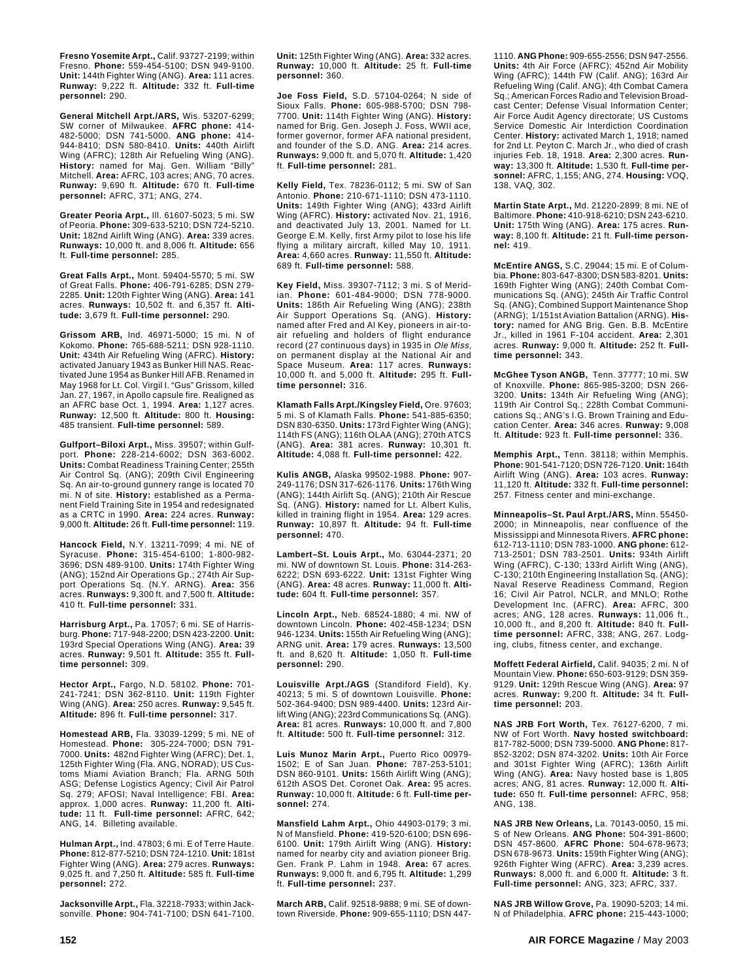**Fresno Yosemite Arpt.,** Calif. 93727-2199; within Fresno. **Phone:** 559-454-5100; DSN 949-9100. **Unit:** 144th Fighter Wing (ANG). **Area:** 111 acres. **Runway:** 9,222 ft. **Altitude:** 332 ft. **Full-time personnel:** 290.

**General Mitchell Arpt./ARS,** Wis. 53207-6299; SW corner of Milwaukee. **AFRC phone:** 414- 482-5000; DSN 741-5000. **ANG phone:** 414- 944-8410; DSN 580-8410. **Units:** 440th Airlift Wing (AFRC); 128th Air Refueling Wing (ANG). **History:** named for Maj. Gen. William "Billy" Mitchell. **Area:** AFRC, 103 acres; ANG, 70 acres. **Runway:** 9,690 ft. **Altitude:** 670 ft. **Full-time personnel:** AFRC, 371; ANG, 274.

**Greater Peoria Arpt.,** Ill. 61607-5023; 5 mi. SW of Peoria. **Phone:** 309-633-5210; DSN 724-5210. **Unit:** 182nd Airlift Wing (ANG). **Area:** 339 acres. **Runways:** 10,000 ft. and 8,006 ft. **Altitude:** 656 ft. **Full-time personnel:** 285.

**Great Falls Arpt.,** Mont. 59404-5570; 5 mi. SW of Great Falls. **Phone:** 406-791-6285; DSN 279- 2285. **Unit:** 120th Fighter Wing (ANG). **Area:** 141 acres. **Runways:** 10,502 ft. and 6,357 ft. **Altitude:** 3,679 ft. **Full-time personnel:** 290.

**Grissom ARB,** Ind. 46971-5000; 15 mi. N of Kokomo. **Phone:** 765-688-5211; DSN 928-1110. **Unit:** 434th Air Refueling Wing (AFRC). **History:** activated January 1943 as Bunker Hill NAS. Reactivated June 1954 as Bunker Hill AFB. Renamed in May 1968 for Lt. Col. Virgil I. "Gus" Grissom, killed Jan. 27, 1967, in Apollo capsule fire. Realigned as an AFRC base Oct. 1, 1994. **Area:** 1,127 acres. **Runway:** 12,500 ft. **Altitude:** 800 ft. **Housing:** 485 transient. **Full-time personnel:** 589.

**Gulfport–Biloxi Arpt.,** Miss. 39507; within Gulfport. **Phone:** 228-214-6002; DSN 363-6002. **Units:** Combat Readiness Training Center; 255th Air Control Sq. (ANG); 209th Civil Engineering Sq. An air-to-ground gunnery range is located 70 mi. N of site. **History:** established as a Permanent Field Training Site in 1954 and redesignated as a CRTC in 1990. **Area:** 224 acres. **Runway:** 9,000 ft. **Altitude:** 26 ft. **Full-time personnel:** 119.

**Hancock Field,** N.Y. 13211-7099; 4 mi. NE of Syracuse. **Phone:** 315-454-6100; 1-800-982- 3696; DSN 489-9100. **Units:** 174th Fighter Wing (ANG); 152nd Air Operations Gp.; 274th Air Support Operations Sq. (N.Y. ARNG). **Area:** 356 acres. **Runways:** 9,300 ft. and 7,500 ft. **Altitude:** 410 ft. **Full-time personnel:** 331.

**Harrisburg Arpt.,** Pa. 17057; 6 mi. SE of Harrisburg. **Phone:** 717-948-2200; DSN 423-2200. **Unit:** 193rd Special Operations Wing (ANG). **Area:** 39 acres. **Runway:** 9,501 ft. **Altitude:** 355 ft. **Fulltime personnel:** 309.

**Hector Arpt.,** Fargo, N.D. 58102. **Phone:** 701- 241-7241; DSN 362-8110. **Unit:** 119th Fighter Wing (ANG). **Area:** 250 acres. **Runway:** 9,545 ft. **Altitude:** 896 ft. **Full-time personnel:** 317.

**Homestead ARB,** Fla. 33039-1299; 5 mi. NE of Homestead. **Phone:** 305-224-7000; DSN 791- 7000. **Units:** 482nd Fighter Wing (AFRC); Det. 1, 125th Fighter Wing (Fla. ANG, NORAD); US Customs Miami Aviation Branch; Fla. ARNG 50th ASG; Defense Logistics Agency; Civil Air Patrol Sq. 279; AFOSI; Naval Intelligence; FBI. **Area:** approx. 1,000 acres. **Runway:** 11,200 ft. **Altitude:** 11 ft. **Full-time personnel:** AFRC, 642; ANG, 14. Billeting available.

**Hulman Arpt.,** Ind. 47803; 6 mi. E of Terre Haute. **Phone:** 812-877-5210; DSN 724-1210. **Unit:** 181st Fighter Wing (ANG). **Area:** 279 acres. **Runways:** 9,025 ft. and 7,250 ft. **Altitude:** 585 ft. **Full-time personnel:** 272.

**Jacksonville Arpt.,** Fla. 32218-7933; within Jacksonville. **Phone:** 904-741-7100; DSN 641-7100. **Unit:** 125th Fighter Wing (ANG). **Area:** 332 acres. **Runway:** 10,000 ft. **Altitude:** 25 ft. **Full-time personnel:** 360.

**Joe Foss Field,** S.D. 57104-0264; N side of Sioux Falls. **Phone:** 605-988-5700; DSN 798- 7700. **Unit:** 114th Fighter Wing (ANG). **History:** named for Brig. Gen. Joseph J. Foss, WWII ace, former governor, former AFA national president, and founder of the S.D. ANG. **Area:** 214 acres. **Runways:** 9,000 ft. and 5,070 ft. **Altitude:** 1,420 ft. **Full-time personnel:** 281.

**Kelly Field,** Tex. 78236-0112; 5 mi. SW of San Antonio. **Phone:** 210-671-1110; DSN 473-1110. **Units:** 149th Fighter Wing (ANG); 433rd Airlift Wing (AFRC). **History:** activated Nov. 21, 1916, and deactivated July 13, 2001. Named for Lt. George E.M. Kelly, first Army pilot to lose his life flying a military aircraft, killed May 10, 1911. **Area:** 4,660 acres. **Runway:** 11,550 ft. **Altitude:** 689 ft. **Full-time personnel:** 588.

**Key Field,** Miss. 39307-7112; 3 mi. S of Meridian. **Phone:** 601-484-9000; DSN 778-9000. **Units:** 186th Air Refueling Wing (ANG); 238th Air Support Operations Sq. (ANG). **History:** named after Fred and Al Key, pioneers in air-toair refueling and holders of flight endurance record (27 continuous days) in 1935 in Ole Miss, on permanent display at the National Air and Space Museum. **Area:** 117 acres. **Runways:** 10,000 ft. and 5,000 ft. **Altitude:** 295 ft. **Fulltime personnel:** 316.

**Klamath Falls Arpt./Kingsley Field,** Ore. 97603; 5 mi. S of Klamath Falls. **Phone:** 541-885-6350; DSN 830-6350. **Units:** 173rd Fighter Wing (ANG); 114th FS (ANG); 116th OLAA (ANG); 270th ATCS (ANG). **Area:** 381 acres. **Runway:** 10,301 ft. **Altitude:** 4,088 ft. **Full-time personnel:** 422.

**Kulis ANGB,** Alaska 99502-1988. **Phone:** 907- 249-1176; DSN 317-626-1176. **Units:** 176th Wing (ANG); 144th Airlift Sq. (ANG); 210th Air Rescue Sq. (ANG). **History:** named for Lt. Albert Kulis, killed in training flight in 1954. **Area:** 129 acres. **Runway:** 10,897 ft. **Altitude:** 94 ft. **Full-time personnel:** 470.

**Lambert–St. Louis Arpt.,** Mo. 63044-2371; 20 mi. NW of downtown St. Louis. **Phone:** 314-263- 6222; DSN 693-6222. **Unit:** 131st Fighter Wing (ANG). **Area:** 48 acres. **Runway:** 11,000 ft. **Altitude:** 604 ft. **Full-time personnel:** 357.

**Lincoln Arpt.,** Neb. 68524-1880; 4 mi. NW of downtown Lincoln. **Phone:** 402-458-1234; DSN 946-1234. **Units:** 155th Air Refueling Wing (ANG); ARNG unit. **Area:** 179 acres. **Runways:** 13,500 ft. and 8,620 ft. **Altitude:** 1,050 ft. **Full-time personnel:** 290.

**Louisville Arpt./AGS** (Standiford Field), Ky. 40213; 5 mi. S of downtown Louisville. **Phone:** 502-364-9400; DSN 989-4400. **Units:** 123rd Airlift Wing (ANG); 223rd Communications Sq. (ANG). **Area:** 81 acres. **Runways:** 10,000 ft. and 7,800 ft. **Altitude:** 500 ft. **Full-time personnel:** 312.

**Luis Munoz Marin Arpt.,** Puerto Rico 00979- 1502; E of San Juan. **Phone:** 787-253-5101; DSN 860-9101. **Units:** 156th Airlift Wing (ANG); 612th ASOS Det. Coronet Oak. **Area:** 95 acres. **Runway:** 10,000 ft. **Altitude:** 6 ft. **Full-time personnel:** 274.

**Mansfield Lahm Arpt.,** Ohio 44903-0179; 3 mi. N of Mansfield. **Phone:** 419-520-6100; DSN 696- 6100. **Unit:** 179th Airlift Wing (ANG). **History:** named for nearby city and aviation pioneer Brig. Gen. Frank P. Lahm in 1948. **Area:** 67 acres. **Runways:** 9,000 ft. and 6,795 ft. **Altitude:** 1,299 ft. **Full-time personnel:** 237.

**March ARB,** Calif. 92518-9888; 9 mi. SE of downtown Riverside. **Phone:** 909-655-1110; DSN 4471110. **ANG Phone:** 909-655-2556; DSN 947-2556. **Units:** 4th Air Force (AFRC); 452nd Air Mobility Wing (AFRC); 144th FW (Calif. ANG); 163rd Air Refueling Wing (Calif. ANG); 4th Combat Camera Sq.; American Forces Radio and Television Broadcast Center; Defense Visual Information Center; Air Force Audit Agency directorate; US Customs Service Domestic Air Interdiction Coordination Center. **History:** activated March 1, 1918; named for 2nd Lt. Peyton C. March Jr., who died of crash injuries Feb. 18, 1918. **Area:** 2,300 acres. **Runway:** 13,300 ft. **Altitude:** 1,530 ft. **Full-time personnel:** AFRC, 1,155; ANG, 274. **Housing:** VOQ, 138, VAQ, 302.

**Martin State Arpt.,** Md. 21220-2899; 8 mi. NE of Baltimore. **Phone:** 410-918-6210; DSN 243-6210. **Unit:** 175th Wing (ANG). **Area:** 175 acres. **Runway:** 8,100 ft. **Altitude:** 21 ft. **Full-time personnel:** 419.

**McEntire ANGS,** S.C. 29044; 15 mi. E of Columbia. **Phone:** 803-647-8300; DSN 583-8201. **Units:** 169th Fighter Wing (ANG); 240th Combat Communications Sq. (ANG); 245th Air Traffic Control Sq. (ANG); Combined Support Maintenance Shop (ARNG); 1/151st Aviation Battalion (ARNG). **History:** named for ANG Brig. Gen. B.B. McEntire Jr., killed in 1961 F-104 accident. **Area:** 2,301 acres. **Runway:** 9,000 ft. **Altitude:** 252 ft. **Fulltime personnel:** 343.

**McGhee Tyson ANGB,** Tenn. 37777; 10 mi. SW of Knoxville. **Phone:** 865-985-3200; DSN 266- 3200. **Units:** 134th Air Refueling Wing (ANG); 119th Air Control Sq.; 228th Combat Communications Sq.; ANG's I.G. Brown Training and Education Center. **Area:** 346 acres. **Runway:** 9,008 ft. **Altitude:** 923 ft. **Full-time personnel:** 336.

**Memphis Arpt.,** Tenn. 38118; within Memphis. **Phone:** 901-541-7120; DSN 726-7120. **Unit:** 164th Airlift Wing (ANG). **Area:** 103 acres. **Runway:** 11,120 ft. **Altitude:** 332 ft. **Full-time personnel:** 257. Fitness center and mini-exchange.

**Minneapolis–St. Paul Arpt./ARS,** Minn. 55450- 2000; in Minneapolis, near confluence of the Mississippi and Minnesota Rivers. **AFRC phone:** 612-713-1110; DSN 783-1000. **ANG phone:** 612- 713-2501; DSN 783-2501. **Units:** 934th Airlift Wing (AFRC), C-130; 133rd Airlift Wing (ANG), C-130; 210th Engineering Installation Sq. (ANG); Naval Reserve Readiness Command, Region 16; Civil Air Patrol, NCLR, and MNLO; Rothe Development Inc. (AFRC). **Area:** AFRC, 300 acres; ANG, 128 acres. **Runways:** 11,006 ft., 10,000 ft., and 8,200 ft. **Altitude:** 840 ft. **Fulltime personnel:** AFRC, 338; ANG, 267. Lodging, clubs, fitness center, and exchange.

**Moffett Federal Airfield,** Calif. 94035; 2 mi. N of Mountain View. **Phone:** 650-603-9129; DSN 359- 9129. **Unit:** 129th Rescue Wing (ANG). **Area:** 97 acres. **Runway:** 9,200 ft. **Altitude:** 34 ft. **Fulltime personnel:** 203.

**NAS JRB Fort Worth,** Tex. 76127-6200, 7 mi. NW of Fort Worth. **Navy hosted switchboard:** 817-782-5000; DSN 739-5000. **ANG Phone:** 817- 852-3202; DSN 874-3202. **Units:** 10th Air Force and 301st Fighter Wing (AFRC); 136th Airlift Wing (ANG). **Area:** Navy hosted base is 1,805 acres; ANG, 81 acres. **Runway:** 12,000 ft. **Altitude:** 650 ft. **Full-time personnel:** AFRC, 958; ANG, 138.

**NAS JRB New Orleans,** La. 70143-0050, 15 mi. S of New Orleans. **ANG Phone:** 504-391-8600; DSN 457-8600. **AFRC Phone:** 504-678-9673; DSN 678-9673. **Units:** 159th Fighter Wing (ANG); 926th Fighter Wing (AFRC). **Area:** 3,239 acres. **Runways:** 8,000 ft. and 6,000 ft. **Altitude:** 3 ft. **Full-time personnel:** ANG, 323; AFRC, 337.

**NAS JRB Willow Grove,** Pa. 19090-5203; 14 mi. N of Philadelphia. **AFRC phone:** 215-443-1000;